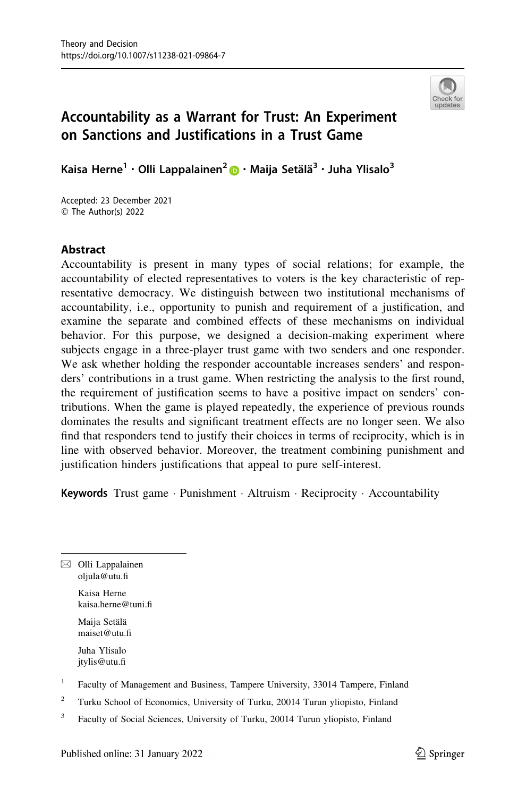

# Accountability as a Warrant for Trust: An Experiment on Sanctions and Justifications in a Trust Game

Kaisa Herne<sup>1</sup> • Olli Lappalainen<sup>[2](http://orcid.org/0000-0002-6516-4052)</sup> • Maija Setälä<sup>3</sup> • Juha Ylisalo<sup>3</sup>

Accepted: 23 December 2021  $\circledcirc$  The Author(s) 2022

# Abstract

Accountability is present in many types of social relations; for example, the accountability of elected representatives to voters is the key characteristic of representative democracy. We distinguish between two institutional mechanisms of accountability, i.e., opportunity to punish and requirement of a justification, and examine the separate and combined effects of these mechanisms on individual behavior. For this purpose, we designed a decision-making experiment where subjects engage in a three-player trust game with two senders and one responder. We ask whether holding the responder accountable increases senders' and responders' contributions in a trust game. When restricting the analysis to the first round, the requirement of justification seems to have a positive impact on senders' contributions. When the game is played repeatedly, the experience of previous rounds dominates the results and significant treatment effects are no longer seen. We also find that responders tend to justify their choices in terms of reciprocity, which is in line with observed behavior. Moreover, the treatment combining punishment and justification hinders justifications that appeal to pure self-interest.

Keywords Trust game · Punishment · Altruism · Reciprocity · Accountability

 $\boxtimes$  Olli Lappalainen oljula@utu.fi Kaisa Herne

kaisa.herne@tuni.fi Maija Setälä

maiset@utu.fi

Juha Ylisalo jtylis@utu.fi

- $1$  Faculty of Management and Business, Tampere University, 33014 Tampere, Finland
- <sup>2</sup> Turku School of Economics, University of Turku, 20014 Turun yliopisto, Finland
- <sup>3</sup> Faculty of Social Sciences, University of Turku, 20014 Turun yliopisto, Finland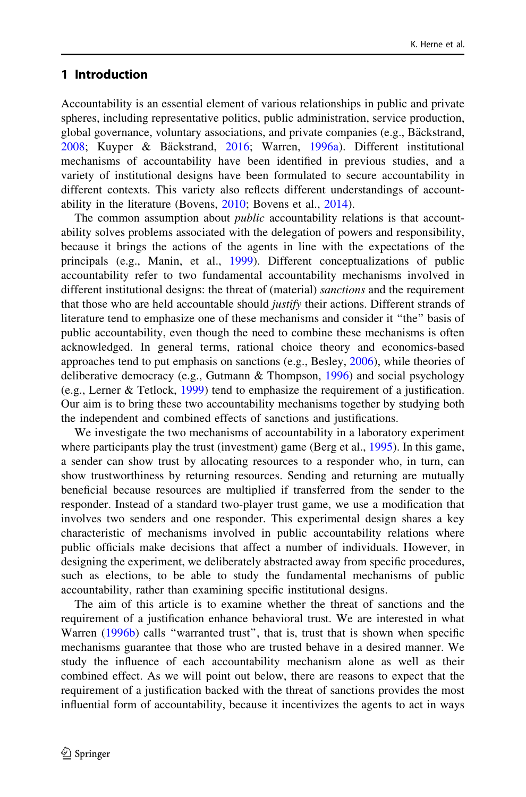# 1 Introduction

Accountability is an essential element of various relationships in public and private spheres, including representative politics, public administration, service production, global governance, voluntary associations, and private companies (e.g., Bäckstrand, [2008;](#page-31-0) Kuyper & Bäckstrand, [2016;](#page-32-0) Warren, [1996a](#page-33-0)). Different institutional mechanisms of accountability have been identified in previous studies, and a variety of institutional designs have been formulated to secure accountability in different contexts. This variety also reflects different understandings of accountability in the literature (Bovens, [2010](#page-31-0); Bovens et al., [2014\)](#page-31-0).

The common assumption about *public* accountability relations is that accountability solves problems associated with the delegation of powers and responsibility, because it brings the actions of the agents in line with the expectations of the principals (e.g., Manin, et al., [1999\)](#page-33-0). Different conceptualizations of public accountability refer to two fundamental accountability mechanisms involved in different institutional designs: the threat of (material) *sanctions* and the requirement that those who are held accountable should *justify* their actions. Different strands of literature tend to emphasize one of these mechanisms and consider it ''the'' basis of public accountability, even though the need to combine these mechanisms is often acknowledged. In general terms, rational choice theory and economics-based approaches tend to put emphasis on sanctions (e.g., Besley, [2006](#page-31-0)), while theories of deliberative democracy (e.g., Gutmann & Thompson, [1996\)](#page-32-0) and social psychology (e.g., Lerner  $&$  Tetlock, [1999\)](#page-32-0) tend to emphasize the requirement of a justification. Our aim is to bring these two accountability mechanisms together by studying both the independent and combined effects of sanctions and justifications.

We investigate the two mechanisms of accountability in a laboratory experiment where participants play the trust (investment) game (Berg et al., [1995](#page-31-0)). In this game, a sender can show trust by allocating resources to a responder who, in turn, can show trustworthiness by returning resources. Sending and returning are mutually beneficial because resources are multiplied if transferred from the sender to the responder. Instead of a standard two-player trust game, we use a modification that involves two senders and one responder. This experimental design shares a key characteristic of mechanisms involved in public accountability relations where public officials make decisions that affect a number of individuals. However, in designing the experiment, we deliberately abstracted away from specific procedures, such as elections, to be able to study the fundamental mechanisms of public accountability, rather than examining specific institutional designs.

The aim of this article is to examine whether the threat of sanctions and the requirement of a justification enhance behavioral trust. We are interested in what Warren [\(1996b](#page-33-0)) calls "warranted trust", that is, trust that is shown when specific mechanisms guarantee that those who are trusted behave in a desired manner. We study the influence of each accountability mechanism alone as well as their combined effect. As we will point out below, there are reasons to expect that the requirement of a justification backed with the threat of sanctions provides the most influential form of accountability, because it incentivizes the agents to act in ways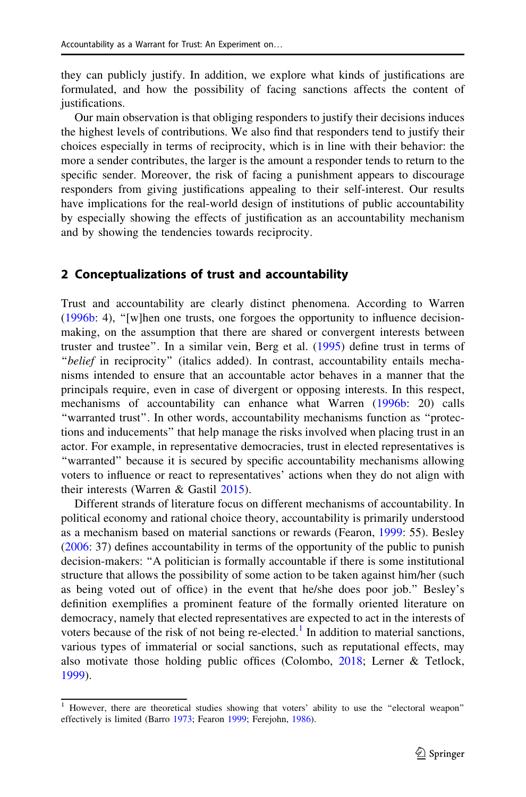they can publicly justify. In addition, we explore what kinds of justifications are formulated, and how the possibility of facing sanctions affects the content of justifications.

Our main observation is that obliging responders to justify their decisions induces the highest levels of contributions. We also find that responders tend to justify their choices especially in terms of reciprocity, which is in line with their behavior: the more a sender contributes, the larger is the amount a responder tends to return to the specific sender. Moreover, the risk of facing a punishment appears to discourage responders from giving justifications appealing to their self-interest. Our results have implications for the real-world design of institutions of public accountability by especially showing the effects of justification as an accountability mechanism and by showing the tendencies towards reciprocity.

# 2 Conceptualizations of trust and accountability

Trust and accountability are clearly distinct phenomena. According to Warren [\(1996b](#page-33-0): 4), ''[w]hen one trusts, one forgoes the opportunity to influence decisionmaking, on the assumption that there are shared or convergent interests between truster and trustee''. In a similar vein, Berg et al. ([1995\)](#page-31-0) define trust in terms of "belief in reciprocity" (italics added). In contrast, accountability entails mechanisms intended to ensure that an accountable actor behaves in a manner that the principals require, even in case of divergent or opposing interests. In this respect, mechanisms of accountability can enhance what Warren ([1996b:](#page-33-0) 20) calls ''warranted trust''. In other words, accountability mechanisms function as ''protections and inducements'' that help manage the risks involved when placing trust in an actor. For example, in representative democracies, trust in elected representatives is ''warranted'' because it is secured by specific accountability mechanisms allowing voters to influence or react to representatives' actions when they do not align with their interests (Warren & Gastil [2015](#page-33-0)).

Different strands of literature focus on different mechanisms of accountability. In political economy and rational choice theory, accountability is primarily understood as a mechanism based on material sanctions or rewards (Fearon, [1999](#page-32-0): 55). Besley [\(2006](#page-31-0): 37) defines accountability in terms of the opportunity of the public to punish decision-makers: ''A politician is formally accountable if there is some institutional structure that allows the possibility of some action to be taken against him/her (such as being voted out of office) in the event that he/she does poor job.'' Besley's definition exemplifies a prominent feature of the formally oriented literature on democracy, namely that elected representatives are expected to act in the interests of voters because of the risk of not being re-elected.<sup>1</sup> In addition to material sanctions, various types of immaterial or social sanctions, such as reputational effects, may also motivate those holding public offices (Colombo, [2018](#page-32-0); Lerner & Tetlock, [1999\)](#page-32-0).

<sup>&</sup>lt;sup>1</sup> However, there are theoretical studies showing that voters' ability to use the "electoral weapon" effectively is limited (Barro [1973](#page-31-0); Fearon [1999](#page-32-0); Ferejohn, [1986\)](#page-32-0).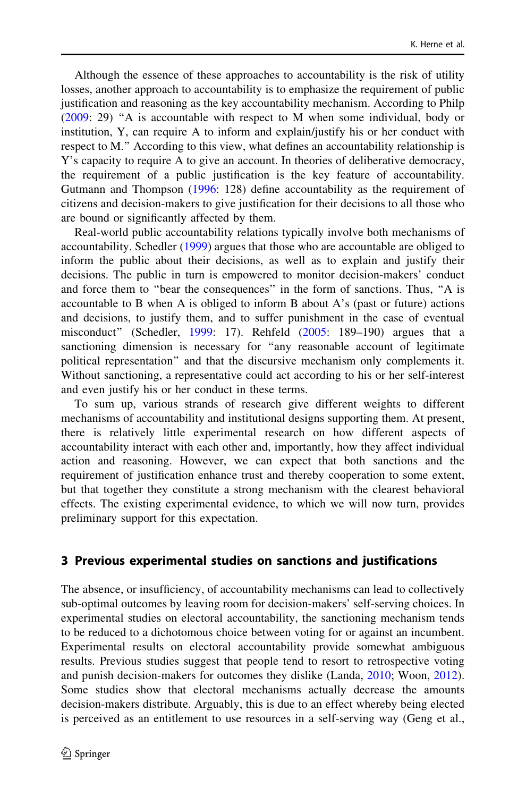Although the essence of these approaches to accountability is the risk of utility losses, another approach to accountability is to emphasize the requirement of public justification and reasoning as the key accountability mechanism. According to Philp [\(2009](#page-33-0): 29) ''A is accountable with respect to M when some individual, body or institution, Y, can require A to inform and explain/justify his or her conduct with respect to M.'' According to this view, what defines an accountability relationship is Y's capacity to require A to give an account. In theories of deliberative democracy, the requirement of a public justification is the key feature of accountability. Gutmann and Thompson ([1996:](#page-32-0) 128) define accountability as the requirement of citizens and decision-makers to give justification for their decisions to all those who are bound or significantly affected by them.

Real-world public accountability relations typically involve both mechanisms of accountability. Schedler ([1999\)](#page-33-0) argues that those who are accountable are obliged to inform the public about their decisions, as well as to explain and justify their decisions. The public in turn is empowered to monitor decision-makers' conduct and force them to ''bear the consequences'' in the form of sanctions. Thus, ''A is accountable to B when A is obliged to inform B about A's (past or future) actions and decisions, to justify them, and to suffer punishment in the case of eventual misconduct'' (Schedler, [1999:](#page-33-0) 17). Rehfeld ([2005:](#page-33-0) 189–190) argues that a sanctioning dimension is necessary for "any reasonable account of legitimate political representation'' and that the discursive mechanism only complements it. Without sanctioning, a representative could act according to his or her self-interest and even justify his or her conduct in these terms.

To sum up, various strands of research give different weights to different mechanisms of accountability and institutional designs supporting them. At present, there is relatively little experimental research on how different aspects of accountability interact with each other and, importantly, how they affect individual action and reasoning. However, we can expect that both sanctions and the requirement of justification enhance trust and thereby cooperation to some extent, but that together they constitute a strong mechanism with the clearest behavioral effects. The existing experimental evidence, to which we will now turn, provides preliminary support for this expectation.

### 3 Previous experimental studies on sanctions and justifications

The absence, or insufficiency, of accountability mechanisms can lead to collectively sub-optimal outcomes by leaving room for decision-makers' self-serving choices. In experimental studies on electoral accountability, the sanctioning mechanism tends to be reduced to a dichotomous choice between voting for or against an incumbent. Experimental results on electoral accountability provide somewhat ambiguous results. Previous studies suggest that people tend to resort to retrospective voting and punish decision-makers for outcomes they dislike (Landa, [2010;](#page-32-0) Woon, [2012\)](#page-33-0). Some studies show that electoral mechanisms actually decrease the amounts decision-makers distribute. Arguably, this is due to an effect whereby being elected is perceived as an entitlement to use resources in a self-serving way (Geng et al.,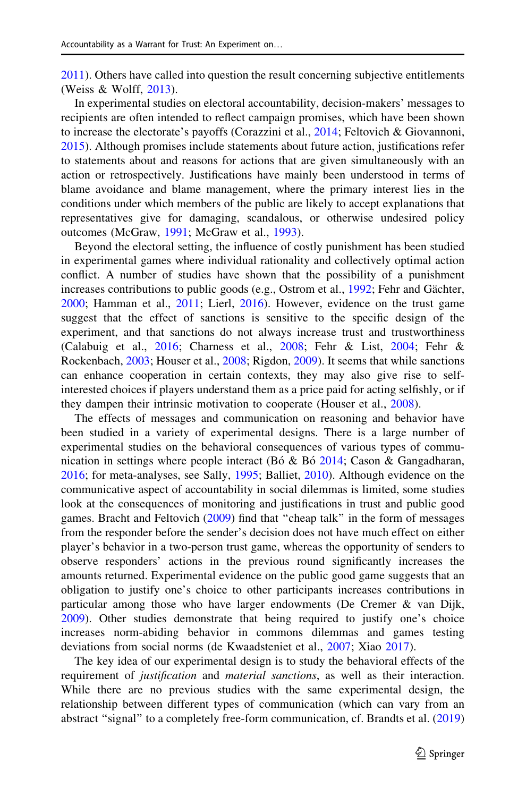[2011\)](#page-32-0). Others have called into question the result concerning subjective entitlements (Weiss & Wolff, [2013\)](#page-33-0).

In experimental studies on electoral accountability, decision-makers' messages to recipients are often intended to reflect campaign promises, which have been shown to increase the electorate's payoffs (Corazzini et al., [2014;](#page-32-0) Feltovich & Giovannoni, [2015\)](#page-32-0). Although promises include statements about future action, justifications refer to statements about and reasons for actions that are given simultaneously with an action or retrospectively. Justifications have mainly been understood in terms of blame avoidance and blame management, where the primary interest lies in the conditions under which members of the public are likely to accept explanations that representatives give for damaging, scandalous, or otherwise undesired policy outcomes (McGraw, [1991](#page-33-0); McGraw et al., [1993](#page-33-0)).

Beyond the electoral setting, the influence of costly punishment has been studied in experimental games where individual rationality and collectively optimal action conflict. A number of studies have shown that the possibility of a punishment increases contributions to public goods (e.g., Ostrom et al., [1992;](#page-33-0) Fehr and Gächter, [2000;](#page-32-0) Hamman et al., [2011](#page-32-0); Lierl, [2016](#page-32-0)). However, evidence on the trust game suggest that the effect of sanctions is sensitive to the specific design of the experiment, and that sanctions do not always increase trust and trustworthiness (Calabuig et al., [2016](#page-31-0); Charness et al., [2008;](#page-32-0) Fehr & List, [2004;](#page-32-0) Fehr & Rockenbach, [2003](#page-32-0); Houser et al., [2008](#page-32-0); Rigdon, [2009](#page-33-0)). It seems that while sanctions can enhance cooperation in certain contexts, they may also give rise to selfinterested choices if players understand them as a price paid for acting selfishly, or if they dampen their intrinsic motivation to cooperate (Houser et al., [2008](#page-32-0)).

The effects of messages and communication on reasoning and behavior have been studied in a variety of experimental designs. There is a large number of experimental studies on the behavioral consequences of various types of communication in settings where people interact (Bó & Bó  $2014$ ; Cason & Gangadharan, [2016;](#page-32-0) for meta-analyses, see Sally, [1995](#page-33-0); Balliet, [2010](#page-31-0)). Although evidence on the communicative aspect of accountability in social dilemmas is limited, some studies look at the consequences of monitoring and justifications in trust and public good games. Bracht and Feltovich [\(2009](#page-31-0)) find that ''cheap talk'' in the form of messages from the responder before the sender's decision does not have much effect on either player's behavior in a two-person trust game, whereas the opportunity of senders to observe responders' actions in the previous round significantly increases the amounts returned. Experimental evidence on the public good game suggests that an obligation to justify one's choice to other participants increases contributions in particular among those who have larger endowments (De Cremer & van Dijk, [2009\)](#page-32-0). Other studies demonstrate that being required to justify one's choice increases norm-abiding behavior in commons dilemmas and games testing deviations from social norms (de Kwaadsteniet et al., [2007](#page-32-0); Xiao [2017](#page-33-0)).

The key idea of our experimental design is to study the behavioral effects of the requirement of *justification* and *material sanctions*, as well as their interaction. While there are no previous studies with the same experimental design, the relationship between different types of communication (which can vary from an abstract "signal" to a completely free-form communication, cf. Brandts et al. [\(2019](#page-31-0))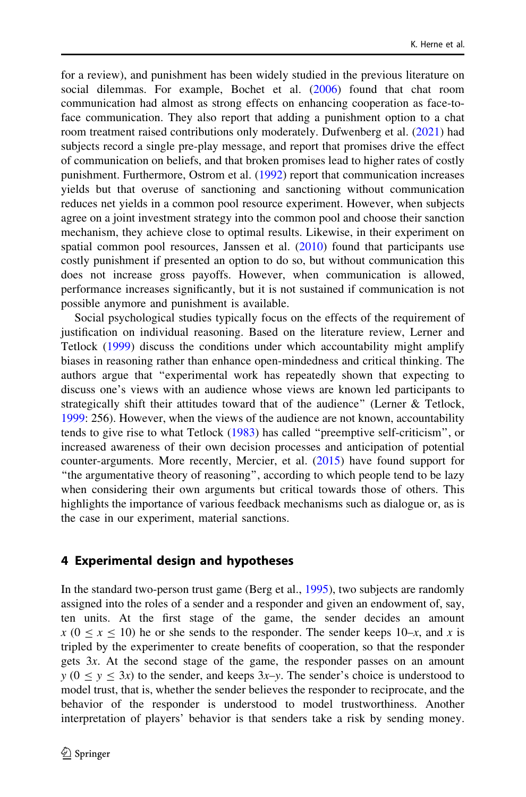for a review), and punishment has been widely studied in the previous literature on social dilemmas. For example, Bochet et al. ([2006\)](#page-31-0) found that chat room communication had almost as strong effects on enhancing cooperation as face-toface communication. They also report that adding a punishment option to a chat room treatment raised contributions only moderately. Dufwenberg et al. ([2021\)](#page-32-0) had subjects record a single pre-play message, and report that promises drive the effect of communication on beliefs, and that broken promises lead to higher rates of costly punishment. Furthermore, Ostrom et al. [\(1992](#page-33-0)) report that communication increases yields but that overuse of sanctioning and sanctioning without communication reduces net yields in a common pool resource experiment. However, when subjects agree on a joint investment strategy into the common pool and choose their sanction mechanism, they achieve close to optimal results. Likewise, in their experiment on spatial common pool resources, Janssen et al.  $(2010)$  $(2010)$  found that participants use costly punishment if presented an option to do so, but without communication this does not increase gross payoffs. However, when communication is allowed, performance increases significantly, but it is not sustained if communication is not possible anymore and punishment is available.

Social psychological studies typically focus on the effects of the requirement of justification on individual reasoning. Based on the literature review, Lerner and Tetlock [\(1999](#page-32-0)) discuss the conditions under which accountability might amplify biases in reasoning rather than enhance open-mindedness and critical thinking. The authors argue that ''experimental work has repeatedly shown that expecting to discuss one's views with an audience whose views are known led participants to strategically shift their attitudes toward that of the audience'' (Lerner & Tetlock, [1999:](#page-32-0) 256). However, when the views of the audience are not known, accountability tends to give rise to what Tetlock [\(1983](#page-33-0)) has called ''preemptive self-criticism'', or increased awareness of their own decision processes and anticipation of potential counter-arguments. More recently, Mercier, et al. ([2015\)](#page-33-0) have found support for ''the argumentative theory of reasoning'', according to which people tend to be lazy when considering their own arguments but critical towards those of others. This highlights the importance of various feedback mechanisms such as dialogue or, as is the case in our experiment, material sanctions.

### 4 Experimental design and hypotheses

In the standard two-person trust game (Berg et al., [1995\)](#page-31-0), two subjects are randomly assigned into the roles of a sender and a responder and given an endowment of, say, ten units. At the first stage of the game, the sender decides an amount  $x (0 \le x \le 10)$  he or she sends to the responder. The sender keeps 10–x, and x is tripled by the experimenter to create benefits of cooperation, so that the responder gets 3x. At the second stage of the game, the responder passes on an amount  $y$  ( $0 \le y \le 3x$ ) to the sender, and keeps  $3x-y$ . The sender's choice is understood to model trust, that is, whether the sender believes the responder to reciprocate, and the behavior of the responder is understood to model trustworthiness. Another interpretation of players' behavior is that senders take a risk by sending money.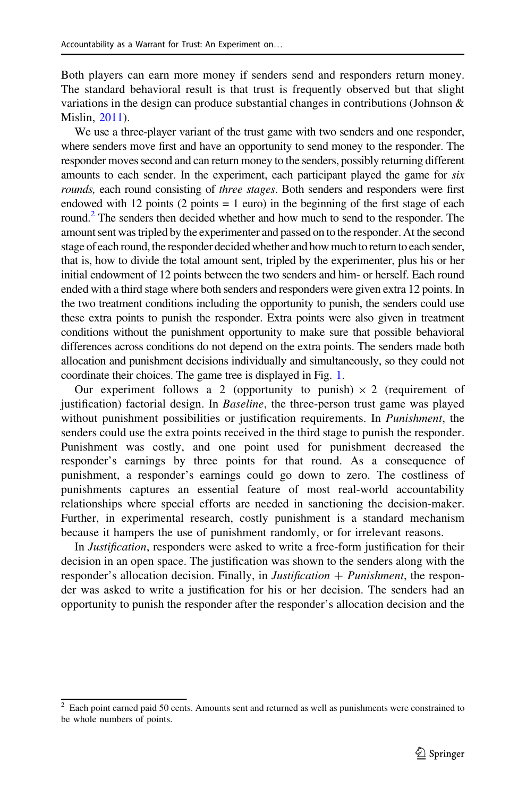Both players can earn more money if senders send and responders return money. The standard behavioral result is that trust is frequently observed but that slight variations in the design can produce substantial changes in contributions (Johnson & Mislin, [2011\)](#page-32-0).

We use a three-player variant of the trust game with two senders and one responder, where senders move first and have an opportunity to send money to the responder. The responder moves second and can return money to the senders, possibly returning different amounts to each sender. In the experiment, each participant played the game for six rounds, each round consisting of three stages. Both senders and responders were first endowed with 12 points  $(2 \text{ points} = 1 \text{ euro})$  in the beginning of the first stage of each round.<sup>2</sup> The senders then decided whether and how much to send to the responder. The amount sent was tripled by the experimenter and passed on to the responder. At the second stage of each round, the responder decided whether and how much to return to each sender, that is, how to divide the total amount sent, tripled by the experimenter, plus his or her initial endowment of 12 points between the two senders and him- or herself. Each round ended with a third stage where both senders and responders were given extra 12 points. In the two treatment conditions including the opportunity to punish, the senders could use these extra points to punish the responder. Extra points were also given in treatment conditions without the punishment opportunity to make sure that possible behavioral differences across conditions do not depend on the extra points. The senders made both allocation and punishment decisions individually and simultaneously, so they could not coordinate their choices. The game tree is displayed in Fig. [1.](#page-7-0)

Our experiment follows a 2 (opportunity to punish)  $\times$  2 (requirement of justification) factorial design. In Baseline, the three-person trust game was played without punishment possibilities or justification requirements. In *Punishment*, the senders could use the extra points received in the third stage to punish the responder. Punishment was costly, and one point used for punishment decreased the responder's earnings by three points for that round. As a consequence of punishment, a responder's earnings could go down to zero. The costliness of punishments captures an essential feature of most real-world accountability relationships where special efforts are needed in sanctioning the decision-maker. Further, in experimental research, costly punishment is a standard mechanism because it hampers the use of punishment randomly, or for irrelevant reasons.

In Justification, responders were asked to write a free-form justification for their decision in an open space. The justification was shown to the senders along with the responder's allocation decision. Finally, in *Justification*  $+$  *Punishment*, the responder was asked to write a justification for his or her decision. The senders had an opportunity to punish the responder after the responder's allocation decision and the

 $2$  Each point earned paid 50 cents. Amounts sent and returned as well as punishments were constrained to be whole numbers of points.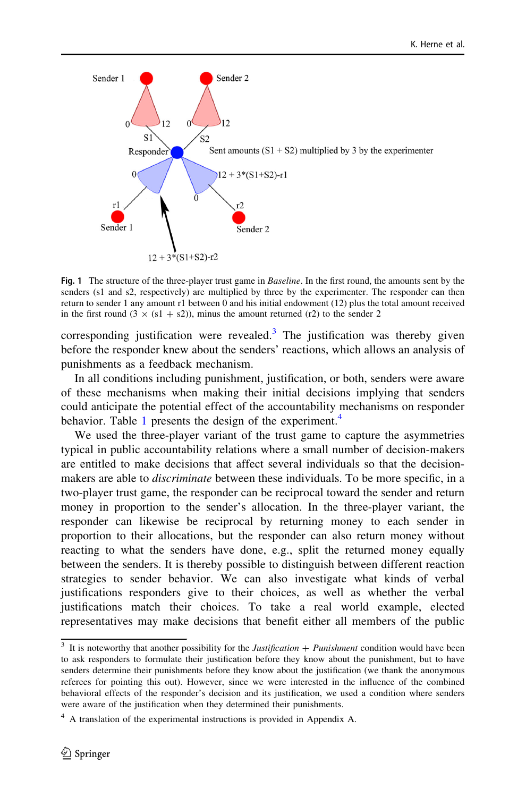<span id="page-7-0"></span>

Fig. 1 The structure of the three-player trust game in *Baseline*. In the first round, the amounts sent by the senders (s1 and s2, respectively) are multiplied by three by the experimenter. The responder can then return to sender 1 any amount r1 between 0 and his initial endowment (12) plus the total amount received in the first round  $(3 \times (s1 + s2))$ , minus the amount returned (r2) to the sender 2

corresponding justification were revealed.<sup>3</sup> The justification was thereby given before the responder knew about the senders' reactions, which allows an analysis of punishments as a feedback mechanism.

In all conditions including punishment, justification, or both, senders were aware of these mechanisms when making their initial decisions implying that senders could anticipate the potential effect of the accountability mechanisms on responder behavior. Table [1](#page-8-0) presents the design of the experiment. $4$ 

We used the three-player variant of the trust game to capture the asymmetries typical in public accountability relations where a small number of decision-makers are entitled to make decisions that affect several individuals so that the decisionmakers are able to discriminate between these individuals. To be more specific, in a two-player trust game, the responder can be reciprocal toward the sender and return money in proportion to the sender's allocation. In the three-player variant, the responder can likewise be reciprocal by returning money to each sender in proportion to their allocations, but the responder can also return money without reacting to what the senders have done, e.g., split the returned money equally between the senders. It is thereby possible to distinguish between different reaction strategies to sender behavior. We can also investigate what kinds of verbal justifications responders give to their choices, as well as whether the verbal justifications match their choices. To take a real world example, elected representatives may make decisions that benefit either all members of the public

 $3$  It is noteworthy that another possibility for the *Justification* + *Punishment* condition would have been to ask responders to formulate their justification before they know about the punishment, but to have senders determine their punishments before they know about the justification (we thank the anonymous referees for pointing this out). However, since we were interested in the influence of the combined behavioral effects of the responder's decision and its justification, we used a condition where senders were aware of the justification when they determined their punishments.

 $4\,$  A translation of the experimental instructions is provided in Appendix A.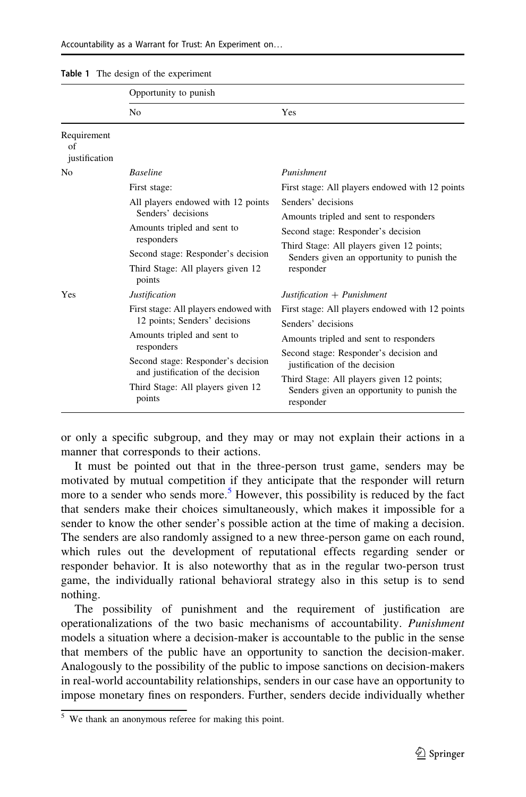|                                    | Opportunity to punish                                                   |                                                                                                      |                              |  |
|------------------------------------|-------------------------------------------------------------------------|------------------------------------------------------------------------------------------------------|------------------------------|--|
|                                    | N <sub>0</sub>                                                          | Yes                                                                                                  |                              |  |
| Requirement<br>of<br>justification |                                                                         |                                                                                                      |                              |  |
| N <sub>0</sub>                     | <b>Baseline</b>                                                         | Punishment                                                                                           |                              |  |
|                                    | First stage:                                                            | First stage: All players endowed with 12 points                                                      |                              |  |
|                                    | All players endowed with 12 points<br>Senders' decisions                | Senders' decisions                                                                                   |                              |  |
|                                    | Amounts tripled and sent to<br>responders                               | Amounts tripled and sent to responders<br>Second stage: Responder's decision                         |                              |  |
|                                    |                                                                         |                                                                                                      |                              |  |
|                                    | Third Stage: All players given 12<br>points                             | responder                                                                                            |                              |  |
|                                    | Yes                                                                     | <b>Justification</b>                                                                                 | $Justification + Punishment$ |  |
|                                    | First stage: All players endowed with                                   | First stage: All players endowed with 12 points                                                      |                              |  |
|                                    | 12 points; Senders' decisions                                           | Senders' decisions                                                                                   |                              |  |
|                                    | Amounts tripled and sent to                                             | Amounts tripled and sent to responders                                                               |                              |  |
|                                    | responders                                                              | Second stage: Responder's decision and                                                               |                              |  |
|                                    | Second stage: Responder's decision<br>and justification of the decision | justification of the decision                                                                        |                              |  |
|                                    | Third Stage: All players given 12<br>points                             | Third Stage: All players given 12 points;<br>Senders given an opportunity to punish the<br>responder |                              |  |

#### <span id="page-8-0"></span>Table 1 The design of the experiment

or only a specific subgroup, and they may or may not explain their actions in a manner that corresponds to their actions.

It must be pointed out that in the three-person trust game, senders may be motivated by mutual competition if they anticipate that the responder will return more to a sender who sends more.<sup>5</sup> However, this possibility is reduced by the fact that senders make their choices simultaneously, which makes it impossible for a sender to know the other sender's possible action at the time of making a decision. The senders are also randomly assigned to a new three-person game on each round, which rules out the development of reputational effects regarding sender or responder behavior. It is also noteworthy that as in the regular two-person trust game, the individually rational behavioral strategy also in this setup is to send nothing.

The possibility of punishment and the requirement of justification are operationalizations of the two basic mechanisms of accountability. Punishment models a situation where a decision-maker is accountable to the public in the sense that members of the public have an opportunity to sanction the decision-maker. Analogously to the possibility of the public to impose sanctions on decision-makers in real-world accountability relationships, senders in our case have an opportunity to impose monetary fines on responders. Further, senders decide individually whether

<sup>5</sup> We thank an anonymous referee for making this point.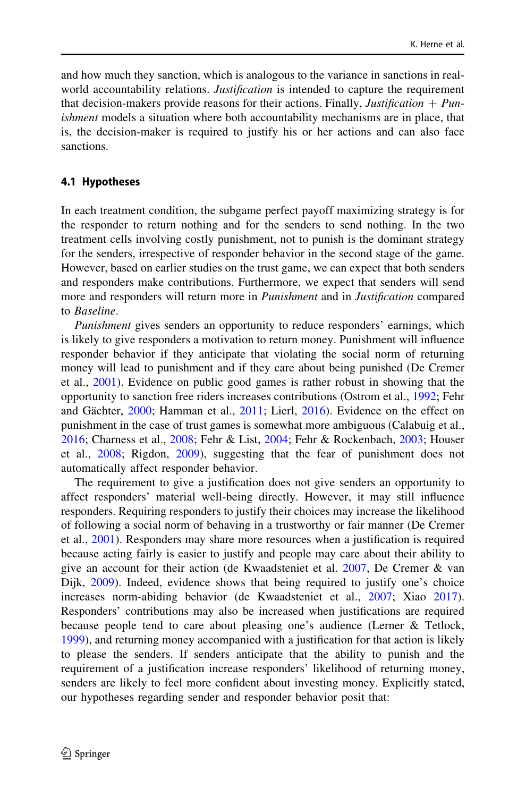and how much they sanction, which is analogous to the variance in sanctions in realworld accountability relations. *Justification* is intended to capture the requirement that decision-makers provide reasons for their actions. Finally, *Justification*  $+$  *Pun*ishment models a situation where both accountability mechanisms are in place, that is, the decision-maker is required to justify his or her actions and can also face sanctions.

### 4.1 Hypotheses

In each treatment condition, the subgame perfect payoff maximizing strategy is for the responder to return nothing and for the senders to send nothing. In the two treatment cells involving costly punishment, not to punish is the dominant strategy for the senders, irrespective of responder behavior in the second stage of the game. However, based on earlier studies on the trust game, we can expect that both senders and responders make contributions. Furthermore, we expect that senders will send more and responders will return more in *Punishment* and in *Justification* compared to Baseline.

Punishment gives senders an opportunity to reduce responders' earnings, which is likely to give responders a motivation to return money. Punishment will influence responder behavior if they anticipate that violating the social norm of returning money will lead to punishment and if they care about being punished (De Cremer et al., [2001\)](#page-32-0). Evidence on public good games is rather robust in showing that the opportunity to sanction free riders increases contributions (Ostrom et al., [1992;](#page-33-0) Fehr and Gächter, [2000;](#page-32-0) Hamman et al., [2011](#page-32-0); Lierl, [2016](#page-32-0)). Evidence on the effect on punishment in the case of trust games is somewhat more ambiguous (Calabuig et al., [2016;](#page-31-0) Charness et al., [2008;](#page-32-0) Fehr & List, [2004;](#page-32-0) Fehr & Rockenbach, [2003;](#page-32-0) Houser et al., [2008](#page-32-0); Rigdon, [2009](#page-33-0)), suggesting that the fear of punishment does not automatically affect responder behavior.

The requirement to give a justification does not give senders an opportunity to affect responders' material well-being directly. However, it may still influence responders. Requiring responders to justify their choices may increase the likelihood of following a social norm of behaving in a trustworthy or fair manner (De Cremer et al., [2001](#page-32-0)). Responders may share more resources when a justification is required because acting fairly is easier to justify and people may care about their ability to give an account for their action (de Kwaadsteniet et al. [2007](#page-32-0), De Cremer & van Dijk, [2009\)](#page-32-0). Indeed, evidence shows that being required to justify one's choice increases norm-abiding behavior (de Kwaadsteniet et al., [2007;](#page-32-0) Xiao [2017\)](#page-33-0). Responders' contributions may also be increased when justifications are required because people tend to care about pleasing one's audience (Lerner & Tetlock, [1999\)](#page-32-0), and returning money accompanied with a justification for that action is likely to please the senders. If senders anticipate that the ability to punish and the requirement of a justification increase responders' likelihood of returning money, senders are likely to feel more confident about investing money. Explicitly stated, our hypotheses regarding sender and responder behavior posit that: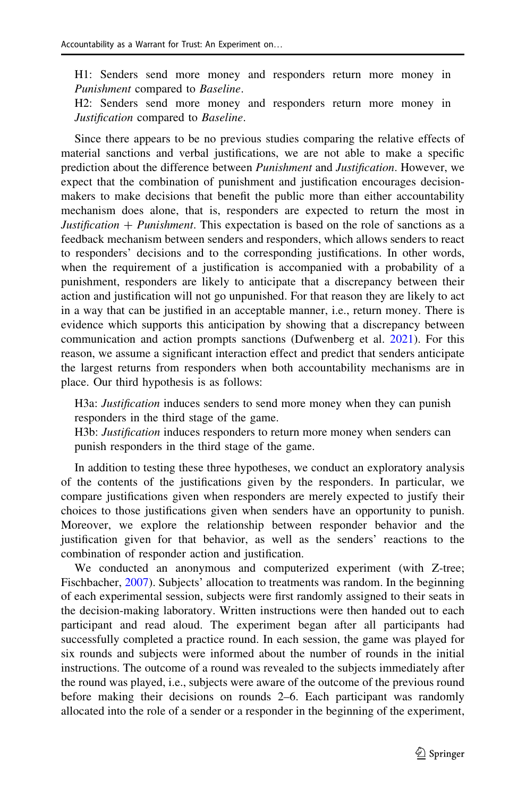H1: Senders send more money and responders return more money in Punishment compared to Baseline.

H2: Senders send more money and responders return more money in Justification compared to Baseline.

Since there appears to be no previous studies comparing the relative effects of material sanctions and verbal justifications, we are not able to make a specific prediction about the difference between *Punishment* and *Justification*. However, we expect that the combination of punishment and justification encourages decisionmakers to make decisions that benefit the public more than either accountability mechanism does alone, that is, responders are expected to return the most in Justification  $+$  Punishment. This expectation is based on the role of sanctions as a feedback mechanism between senders and responders, which allows senders to react to responders' decisions and to the corresponding justifications. In other words, when the requirement of a justification is accompanied with a probability of a punishment, responders are likely to anticipate that a discrepancy between their action and justification will not go unpunished. For that reason they are likely to act in a way that can be justified in an acceptable manner, i.e., return money. There is evidence which supports this anticipation by showing that a discrepancy between communication and action prompts sanctions (Dufwenberg et al. [2021\)](#page-32-0). For this reason, we assume a significant interaction effect and predict that senders anticipate the largest returns from responders when both accountability mechanisms are in place. Our third hypothesis is as follows:

H3a: *Justification* induces senders to send more money when they can punish responders in the third stage of the game.

H3b: *Justification* induces responders to return more money when senders can punish responders in the third stage of the game.

In addition to testing these three hypotheses, we conduct an exploratory analysis of the contents of the justifications given by the responders. In particular, we compare justifications given when responders are merely expected to justify their choices to those justifications given when senders have an opportunity to punish. Moreover, we explore the relationship between responder behavior and the justification given for that behavior, as well as the senders' reactions to the combination of responder action and justification.

We conducted an anonymous and computerized experiment (with Z-tree; Fischbacher, [2007](#page-32-0)). Subjects' allocation to treatments was random. In the beginning of each experimental session, subjects were first randomly assigned to their seats in the decision-making laboratory. Written instructions were then handed out to each participant and read aloud. The experiment began after all participants had successfully completed a practice round. In each session, the game was played for six rounds and subjects were informed about the number of rounds in the initial instructions. The outcome of a round was revealed to the subjects immediately after the round was played, i.e., subjects were aware of the outcome of the previous round before making their decisions on rounds 2–6. Each participant was randomly allocated into the role of a sender or a responder in the beginning of the experiment,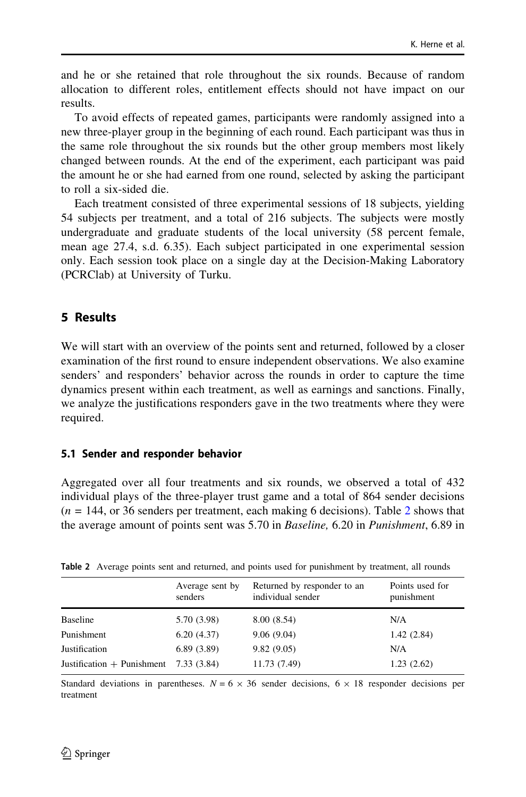<span id="page-11-0"></span>and he or she retained that role throughout the six rounds. Because of random allocation to different roles, entitlement effects should not have impact on our results.

To avoid effects of repeated games, participants were randomly assigned into a new three-player group in the beginning of each round. Each participant was thus in the same role throughout the six rounds but the other group members most likely changed between rounds. At the end of the experiment, each participant was paid the amount he or she had earned from one round, selected by asking the participant to roll a six-sided die.

Each treatment consisted of three experimental sessions of 18 subjects, yielding 54 subjects per treatment, and a total of 216 subjects. The subjects were mostly undergraduate and graduate students of the local university (58 percent female, mean age 27.4, s.d. 6.35). Each subject participated in one experimental session only. Each session took place on a single day at the Decision-Making Laboratory (PCRClab) at University of Turku.

# 5 Results

We will start with an overview of the points sent and returned, followed by a closer examination of the first round to ensure independent observations. We also examine senders' and responders' behavior across the rounds in order to capture the time dynamics present within each treatment, as well as earnings and sanctions. Finally, we analyze the justifications responders gave in the two treatments where they were required.

### 5.1 Sender and responder behavior

Aggregated over all four treatments and six rounds, we observed a total of 432 individual plays of the three-player trust game and a total of 864 sender decisions  $(n = 144, \text{ or } 36 \text{ senders per treatment}, \text{each making } 6 \text{ decisions})$ . Table 2 shows that the average amount of points sent was 5.70 in *Baseline*, 6.20 in *Punishment*, 6.89 in

|                              | Average sent by<br>senders | Returned by responder to an<br>individual sender | Points used for<br>punishment |
|------------------------------|----------------------------|--------------------------------------------------|-------------------------------|
| <b>Baseline</b>              | 5.70 (3.98)                | 8.00(8.54)                                       | N/A                           |
| Punishment                   | 6.20(4.37)                 | 9.06(9.04)                                       | 1.42(2.84)                    |
| Justification                | 6.89(3.89)                 | 9.82(9.05)                                       | N/A                           |
| Justification $+$ Punishment | 7.33 (3.84)                | 11.73 (7.49)                                     | 1.23(2.62)                    |

Table 2 Average points sent and returned, and points used for punishment by treatment, all rounds

Standard deviations in parentheses.  $N = 6 \times 36$  sender decisions,  $6 \times 18$  responder decisions per treatment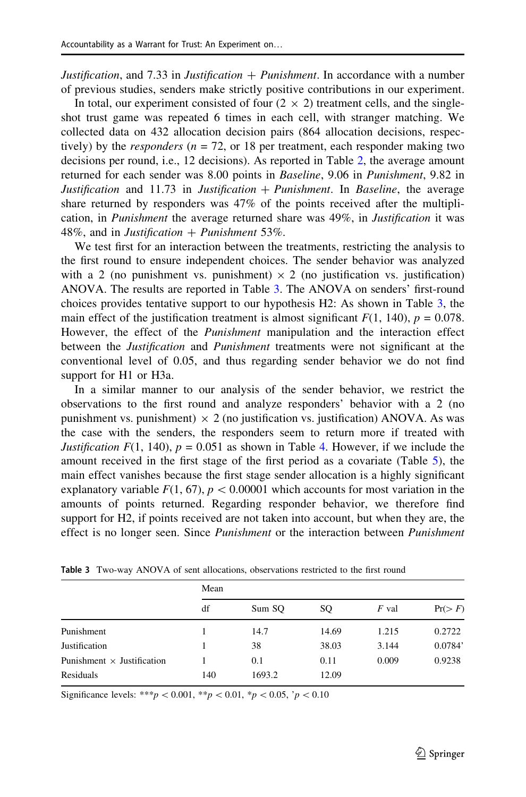*Justification*, and 7.33 in *Justification*  $+$  *Punishment*. In accordance with a number of previous studies, senders make strictly positive contributions in our experiment.

In total, our experiment consisted of four  $(2 \times 2)$  treatment cells, and the singleshot trust game was repeated 6 times in each cell, with stranger matching. We collected data on 432 allocation decision pairs (864 allocation decisions, respectively) by the *responders* ( $n = 72$ , or 18 per treatment, each responder making two decisions per round, i.e., 12 decisions). As reported in Table [2,](#page-11-0) the average amount returned for each sender was 8.00 points in Baseline, 9.06 in Punishment, 9.82 in Justification and 11.73 in Justification  $+$  Punishment. In Baseline, the average share returned by responders was 47% of the points received after the multiplication, in Punishment the average returned share was 49%, in Justification it was 48%, and in Justification  $+$  Punishment 53%.

We test first for an interaction between the treatments, restricting the analysis to the first round to ensure independent choices. The sender behavior was analyzed with a 2 (no punishment vs. punishment)  $\times$  2 (no justification vs. justification) ANOVA. The results are reported in Table 3. The ANOVA on senders' first-round choices provides tentative support to our hypothesis H2: As shown in Table 3, the main effect of the justification treatment is almost significant  $F(1, 140)$ ,  $p = 0.078$ . However, the effect of the Punishment manipulation and the interaction effect between the Justification and Punishment treatments were not significant at the conventional level of 0.05, and thus regarding sender behavior we do not find support for H1 or H3a.

In a similar manner to our analysis of the sender behavior, we restrict the observations to the first round and analyze responders' behavior with a 2 (no punishment vs. punishment)  $\times$  2 (no justification vs. justification) ANOVA. As was the case with the senders, the responders seem to return more if treated with Justification  $F(1, 140)$ ,  $p = 0.051$  as shown in Table [4.](#page-13-0) However, if we include the amount received in the first stage of the first period as a covariate (Table [5](#page-13-0)), the main effect vanishes because the first stage sender allocation is a highly significant explanatory variable  $F(1, 67)$ ,  $p < 0.00001$  which accounts for most variation in the amounts of points returned. Regarding responder behavior, we therefore find support for H2, if points received are not taken into account, but when they are, the effect is no longer seen. Since *Punishment* or the interaction between *Punishment* 

|                                   | Mean |        |       |       |         |  |
|-----------------------------------|------|--------|-------|-------|---------|--|
|                                   | df   | Sum SQ | SQ    | F val | Pr(>F)  |  |
| Punishment                        |      | 14.7   | 14.69 | 1.215 | 0.2722  |  |
| Justification                     |      | 38     | 38.03 | 3.144 | 0.0784' |  |
| Punishment $\times$ Justification |      | 0.1    | 0.11  | 0.009 | 0.9238  |  |
| Residuals                         | 140  | 1693.2 | 12.09 |       |         |  |

Table 3 Two-way ANOVA of sent allocations, observations restricted to the first round

Significance levels: \*\*\*p < 0.001, \*\*p < 0.01, \*p < 0.05, 'p < 0.10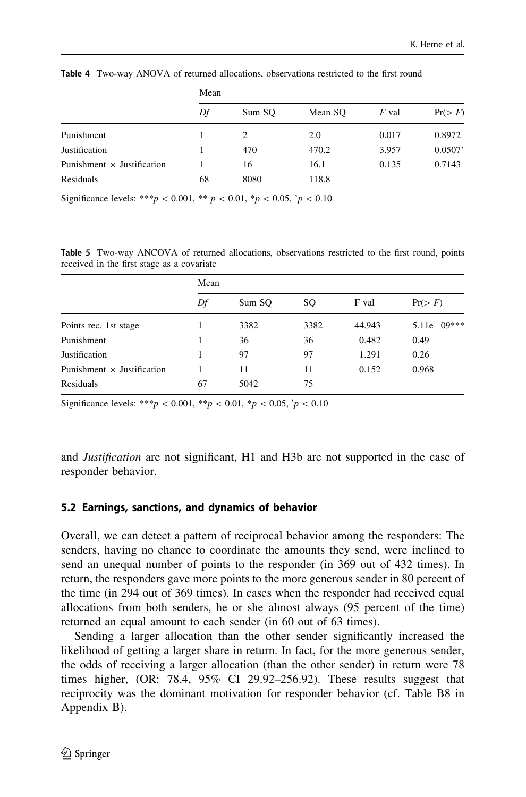|                                   | Mean |        |         |         |         |
|-----------------------------------|------|--------|---------|---------|---------|
|                                   | Df   | Sum SO | Mean SO | $F$ val | Pr(>F)  |
| Punishment                        |      | 2      | 2.0     | 0.017   | 0.8972  |
| <b>Justification</b>              |      | 470    | 470.2   | 3.957   | 0.0507' |
| Punishment $\times$ Justification |      | 16     | 16.1    | 0.135   | 0.7143  |
| Residuals                         | 68   | 8080   | 118.8   |         |         |

<span id="page-13-0"></span>Table 4 Two-way ANOVA of returned allocations, observations restricted to the first round

Significance levels: \*\*\*  $p < 0.001$ , \*\*  $p < 0.01$ , \*p $< 0.05$ , 'p $< 0.10$ 

Table 5 Two-way ANCOVA of returned allocations, observations restricted to the first round, points received in the first stage as a covariate

|                                   | Mean |        |      |        |                 |  |
|-----------------------------------|------|--------|------|--------|-----------------|--|
|                                   | Df   | Sum SO | SO.  | F val  | Pr(>F)          |  |
| Points rec. 1st stage             |      | 3382   | 3382 | 44.943 | $5.11e - 09***$ |  |
| Punishment                        |      | 36     | 36   | 0.482  | 0.49            |  |
| Justification                     |      | 97     | 97   | 1.291  | 0.26            |  |
| Punishment $\times$ Justification |      | 11     | 11   | 0.152  | 0.968           |  |
| Residuals                         | 67   | 5042   | 75   |        |                 |  |

Significance levels: \*\*\*p < 0.001, \*\*p < 0.01, \*p < 0.05,  $p$  < 0.10

and Justification are not significant, H1 and H3b are not supported in the case of responder behavior.

### 5.2 Earnings, sanctions, and dynamics of behavior

Overall, we can detect a pattern of reciprocal behavior among the responders: The senders, having no chance to coordinate the amounts they send, were inclined to send an unequal number of points to the responder (in 369 out of 432 times). In return, the responders gave more points to the more generous sender in 80 percent of the time (in 294 out of 369 times). In cases when the responder had received equal allocations from both senders, he or she almost always (95 percent of the time) returned an equal amount to each sender (in 60 out of 63 times).

Sending a larger allocation than the other sender significantly increased the likelihood of getting a larger share in return. In fact, for the more generous sender, the odds of receiving a larger allocation (than the other sender) in return were 78 times higher, (OR: 78.4, 95% CI 29.92–256.92). These results suggest that reciprocity was the dominant motivation for responder behavior (cf. Table B8 in Appendix B).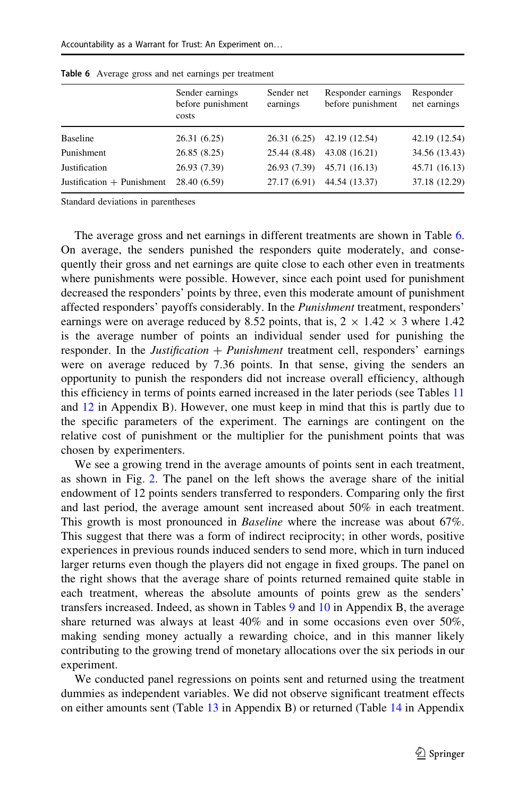|                              | Sender earnings<br>before punishment<br>costs | Sender net<br>earnings | Responder earnings<br>before punishment | Responder<br>net earnings |
|------------------------------|-----------------------------------------------|------------------------|-----------------------------------------|---------------------------|
| <b>Baseline</b>              | 26.31(6.25)                                   |                        | 26.31 (6.25) 42.19 (12.54)              | 42.19 (12.54)             |
| Punishment                   | 26.85(8.25)                                   | 25.44 (8.48)           | 43.08 (16.21)                           | 34.56 (13.43)             |
| Justification                | 26.93 (7.39)                                  | 26.93(7.39)            | 45.71 (16.13)                           | 45.71 (16.13)             |
| Justification $+$ Punishment | 28.40 (6.59)                                  | 27.17(6.91)            | 44.54 (13.37)                           | 37.18 (12.29)             |

<span id="page-14-0"></span>Table 6 Average gross and net earnings per treatment

Standard deviations in parentheses

The average gross and net earnings in different treatments are shown in Table 6. On average, the senders punished the responders quite moderately, and consequently their gross and net earnings are quite close to each other even in treatments where punishments were possible. However, since each point used for punishment decreased the responders' points by three, even this moderate amount of punishment affected responders' payoffs considerably. In the Punishment treatment, responders' earnings were on average reduced by 8.52 points, that is,  $2 \times 1.42 \times 3$  where 1.42 is the average number of points an individual sender used for punishing the responder. In the *Justification*  $+$  *Punishment* treatment cell, responders' earnings were on average reduced by 7.36 points. In that sense, giving the senders an opportunity to punish the responders did not increase overall efficiency, although this efficiency in terms of points earned increased in the later periods (see Tables [11](#page-29-0) and [12](#page-29-0) in Appendix B). However, one must keep in mind that this is partly due to the specific parameters of the experiment. The earnings are contingent on the relative cost of punishment or the multiplier for the punishment points that was chosen by experimenters.

We see a growing trend in the average amounts of points sent in each treatment, as shown in Fig. [2.](#page-15-0) The panel on the left shows the average share of the initial endowment of 12 points senders transferred to responders. Comparing only the first and last period, the average amount sent increased about 50% in each treatment. This growth is most pronounced in Baseline where the increase was about 67%. This suggest that there was a form of indirect reciprocity; in other words, positive experiences in previous rounds induced senders to send more, which in turn induced larger returns even though the players did not engage in fixed groups. The panel on the right shows that the average share of points returned remained quite stable in each treatment, whereas the absolute amounts of points grew as the senders' transfers increased. Indeed, as shown in Tables [9](#page-29-0) and [10](#page-29-0) in Appendix B, the average share returned was always at least 40% and in some occasions even over 50%, making sending money actually a rewarding choice, and in this manner likely contributing to the growing trend of monetary allocations over the six periods in our experiment.

We conducted panel regressions on points sent and returned using the treatment dummies as independent variables. We did not observe significant treatment effects on either amounts sent (Table [13](#page-30-0) in Appendix B) or returned (Table [14](#page-30-0) in Appendix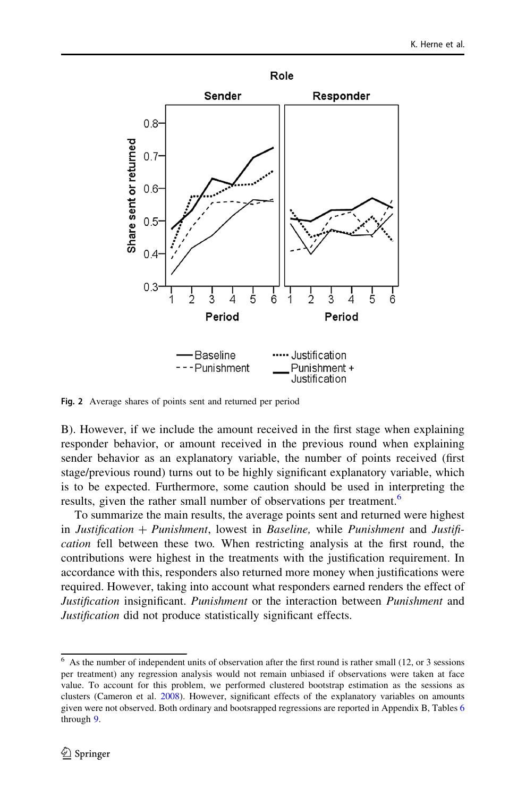<span id="page-15-0"></span>

Fig. 2 Average shares of points sent and returned per period

B). However, if we include the amount received in the first stage when explaining responder behavior, or amount received in the previous round when explaining sender behavior as an explanatory variable, the number of points received (first stage/previous round) turns out to be highly significant explanatory variable, which is to be expected. Furthermore, some caution should be used in interpreting the results, given the rather small number of observations per treatment.<sup>6</sup>

To summarize the main results, the average points sent and returned were highest in *Justification*  $+$  *Punishment*, lowest in *Baseline*, while *Punishment* and *Justifi*cation fell between these two. When restricting analysis at the first round, the contributions were highest in the treatments with the justification requirement. In accordance with this, responders also returned more money when justifications were required. However, taking into account what responders earned renders the effect of Justification insignificant. Punishment or the interaction between Punishment and Justification did not produce statistically significant effects.

As the number of independent units of observation after the first round is rather small (12, or 3 sessions per treatment) any regression analysis would not remain unbiased if observations were taken at face value. To account for this problem, we performed clustered bootstrap estimation as the sessions as clusters (Cameron et al. [2008](#page-31-0)). However, significant effects of the explanatory variables on amounts given were not observed. Both ordinary and bootsrapped regressions are reported in Appendix B, Tables [6](#page-14-0) through [9](#page-29-0).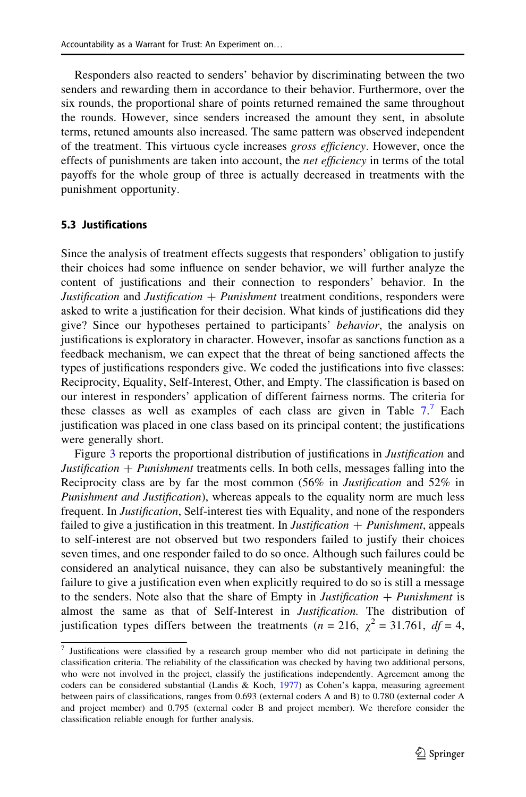Responders also reacted to senders' behavior by discriminating between the two senders and rewarding them in accordance to their behavior. Furthermore, over the six rounds, the proportional share of points returned remained the same throughout the rounds. However, since senders increased the amount they sent, in absolute terms, retuned amounts also increased. The same pattern was observed independent of the treatment. This virtuous cycle increases gross efficiency. However, once the effects of punishments are taken into account, the *net efficiency* in terms of the total payoffs for the whole group of three is actually decreased in treatments with the punishment opportunity.

### 5.3 Justifications

Since the analysis of treatment effects suggests that responders' obligation to justify their choices had some influence on sender behavior, we will further analyze the content of justifications and their connection to responders' behavior. In the Justification and Justification  $+$  Punishment treatment conditions, responders were asked to write a justification for their decision. What kinds of justifications did they give? Since our hypotheses pertained to participants' behavior, the analysis on justifications is exploratory in character. However, insofar as sanctions function as a feedback mechanism, we can expect that the threat of being sanctioned affects the types of justifications responders give. We coded the justifications into five classes: Reciprocity, Equality, Self-Interest, Other, and Empty. The classification is based on our interest in responders' application of different fairness norms. The criteria for these classes as well as examples of each class are given in Table  $7<sup>7</sup>$  Each justification was placed in one class based on its principal content; the justifications were generally short.

Figure [3](#page-18-0) reports the proportional distribution of justifications in *Justification* and *Justification*  $+$  *Punishment* treatments cells. In both cells, messages falling into the Reciprocity class are by far the most common (56% in Justification and 52% in Punishment and Justification), whereas appeals to the equality norm are much less frequent. In *Justification*, Self-interest ties with Equality, and none of the responders failed to give a justification in this treatment. In *Justification*  $+$  *Punishment*, appeals to self-interest are not observed but two responders failed to justify their choices seven times, and one responder failed to do so once. Although such failures could be considered an analytical nuisance, they can also be substantively meaningful: the failure to give a justification even when explicitly required to do so is still a message to the senders. Note also that the share of Empty in *Justification*  $+$  *Punishment* is almost the same as that of Self-Interest in Justification. The distribution of justification types differs between the treatments ( $n = 216$ ,  $\chi^2 = 31.761$ ,  $df = 4$ ,

 $\frac{7}{7}$  Justifications were classified by a research group member who did not participate in defining the classification criteria. The reliability of the classification was checked by having two additional persons, who were not involved in the project, classify the justifications independently. Agreement among the coders can be considered substantial (Landis & Koch, [1977\)](#page-32-0) as Cohen's kappa, measuring agreement between pairs of classifications, ranges from 0.693 (external coders A and B) to 0.780 (external coder A and project member) and 0.795 (external coder B and project member). We therefore consider the classification reliable enough for further analysis.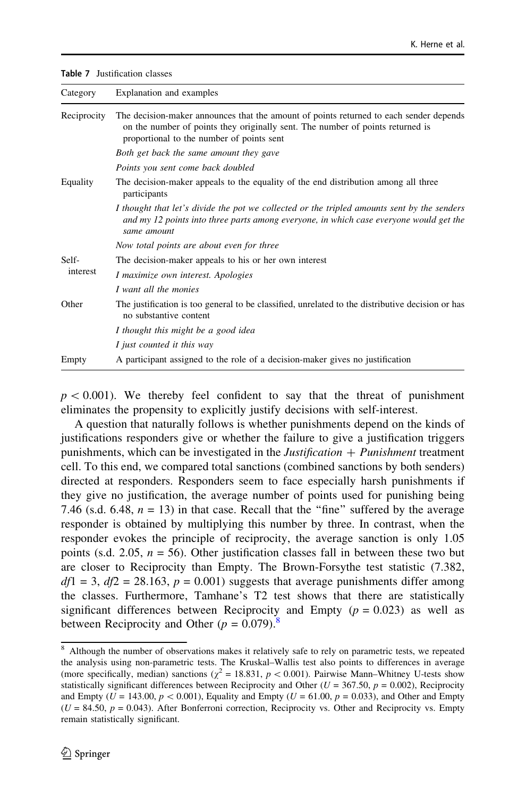<span id="page-17-0"></span>Table 7 Justification classes

| Category    | Explanation and examples                                                                                                                                                                                              |
|-------------|-----------------------------------------------------------------------------------------------------------------------------------------------------------------------------------------------------------------------|
| Reciprocity | The decision-maker announces that the amount of points returned to each sender depends<br>on the number of points they originally sent. The number of points returned is<br>proportional to the number of points sent |
|             | Both get back the same amount they gave                                                                                                                                                                               |
|             | Points you sent come back doubled                                                                                                                                                                                     |
| Equality    | The decision-maker appeals to the equality of the end distribution among all three<br>participants                                                                                                                    |
|             | I thought that let's divide the pot we collected or the tripled amounts sent by the senders<br>and my 12 points into three parts among everyone, in which case everyone would get the<br>same amount                  |
|             | Now total points are about even for three                                                                                                                                                                             |
| Self-       | The decision-maker appeals to his or her own interest                                                                                                                                                                 |
| interest    | I maximize own interest. Apologies                                                                                                                                                                                    |
|             | I want all the monies                                                                                                                                                                                                 |
| Other       | The justification is too general to be classified, unrelated to the distributive decision or has<br>no substantive content                                                                                            |
|             | I thought this might be a good idea                                                                                                                                                                                   |
|             | I just counted it this way                                                                                                                                                                                            |
| Empty       | A participant assigned to the role of a decision-maker gives no justification                                                                                                                                         |

 $p < 0.001$ ). We thereby feel confident to say that the threat of punishment eliminates the propensity to explicitly justify decisions with self-interest.

A question that naturally follows is whether punishments depend on the kinds of justifications responders give or whether the failure to give a justification triggers punishments, which can be investigated in the *Justification*  $+$  *Punishment* treatment cell. To this end, we compared total sanctions (combined sanctions by both senders) directed at responders. Responders seem to face especially harsh punishments if they give no justification, the average number of points used for punishing being 7.46 (s.d. 6.48,  $n = 13$ ) in that case. Recall that the "fine" suffered by the average responder is obtained by multiplying this number by three. In contrast, when the responder evokes the principle of reciprocity, the average sanction is only 1.05 points (s.d. 2.05,  $n = 56$ ). Other justification classes fall in between these two but are closer to Reciprocity than Empty. The Brown-Forsythe test statistic (7.382,  $df1 = 3$ ,  $df2 = 28.163$ ,  $p = 0.001$ ) suggests that average punishments differ among the classes. Furthermore, Tamhane's T2 test shows that there are statistically significant differences between Reciprocity and Empty ( $p = 0.023$ ) as well as between Reciprocity and Other ( $p = 0.079$ ).<sup>8</sup>

<sup>8</sup> Although the number of observations makes it relatively safe to rely on parametric tests, we repeated the analysis using non-parametric tests. The Kruskal–Wallis test also points to differences in average (more specifically, median) sanctions ( $\chi^2 = 18.831$ ,  $p < 0.001$ ). Pairwise Mann–Whitney U-tests show statistically significant differences between Reciprocity and Other ( $U = 367.50$ ,  $p = 0.002$ ), Reciprocity and Empty ( $U = 143.00, p < 0.001$ ), Equality and Empty ( $U = 61.00, p = 0.033$ ), and Other and Empty  $(U = 84.50, p = 0.043)$ . After Bonferroni correction, Reciprocity vs. Other and Reciprocity vs. Empty remain statistically significant.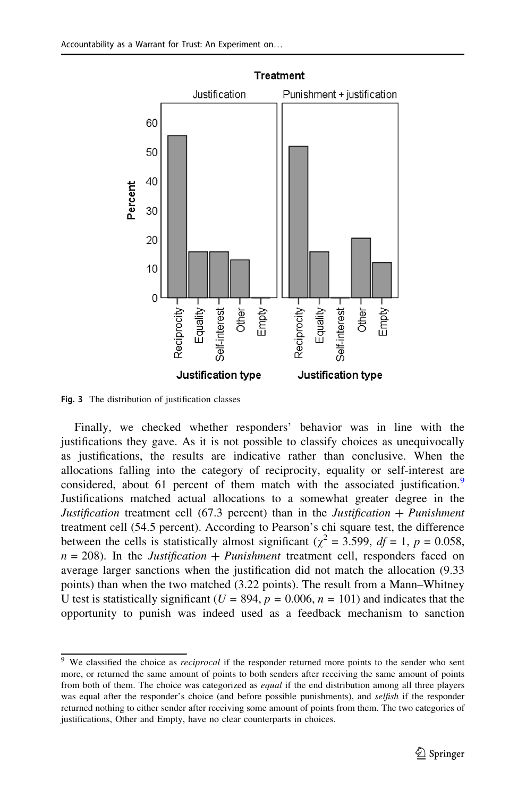<span id="page-18-0"></span>

Fig. 3 The distribution of justification classes

Finally, we checked whether responders' behavior was in line with the justifications they gave. As it is not possible to classify choices as unequivocally as justifications, the results are indicative rather than conclusive. When the allocations falling into the category of reciprocity, equality or self-interest are considered, about 61 percent of them match with the associated justification.<sup>9</sup> Justifications matched actual allocations to a somewhat greater degree in the Justification treatment cell (67.3 percent) than in the Justification  $+$  Punishment treatment cell (54.5 percent). According to Pearson's chi square test, the difference between the cells is statistically almost significant ( $\chi^2$  = 3.599, *df* = 1, *p* = 0.058,  $n = 208$ ). In the *Justification + Punishment* treatment cell, responders faced on average larger sanctions when the justification did not match the allocation (9.33 points) than when the two matched (3.22 points). The result from a Mann–Whitney U test is statistically significant ( $U = 894$ ,  $p = 0.006$ ,  $n = 101$ ) and indicates that the opportunity to punish was indeed used as a feedback mechanism to sanction

<sup>&</sup>lt;sup>9</sup> We classified the choice as *reciprocal* if the responder returned more points to the sender who sent more, or returned the same amount of points to both senders after receiving the same amount of points from both of them. The choice was categorized as *equal* if the end distribution among all three players was equal after the responder's choice (and before possible punishments), and selfish if the responder returned nothing to either sender after receiving some amount of points from them. The two categories of justifications, Other and Empty, have no clear counterparts in choices.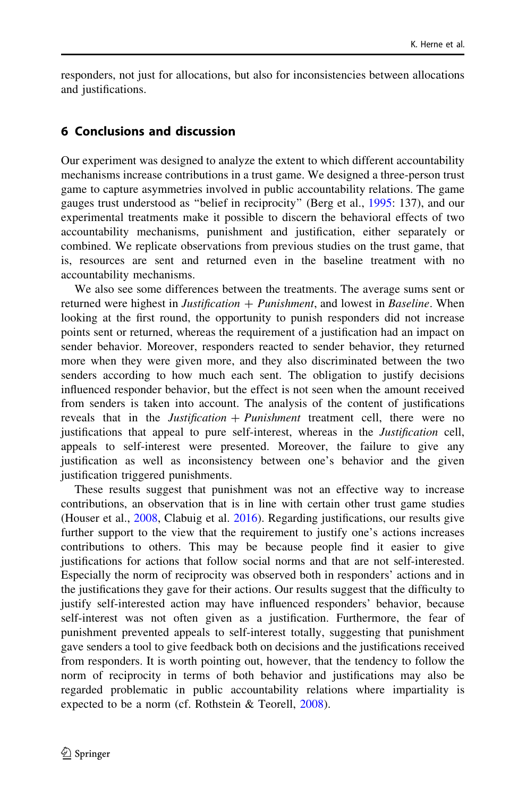responders, not just for allocations, but also for inconsistencies between allocations and justifications.

# 6 Conclusions and discussion

Our experiment was designed to analyze the extent to which different accountability mechanisms increase contributions in a trust game. We designed a three-person trust game to capture asymmetries involved in public accountability relations. The game gauges trust understood as ''belief in reciprocity'' (Berg et al., [1995:](#page-31-0) 137), and our experimental treatments make it possible to discern the behavioral effects of two accountability mechanisms, punishment and justification, either separately or combined. We replicate observations from previous studies on the trust game, that is, resources are sent and returned even in the baseline treatment with no accountability mechanisms.

We also see some differences between the treatments. The average sums sent or returned were highest in *Justification*  $+$  *Punishment*, and lowest in *Baseline*. When looking at the first round, the opportunity to punish responders did not increase points sent or returned, whereas the requirement of a justification had an impact on sender behavior. Moreover, responders reacted to sender behavior, they returned more when they were given more, and they also discriminated between the two senders according to how much each sent. The obligation to justify decisions influenced responder behavior, but the effect is not seen when the amount received from senders is taken into account. The analysis of the content of justifications reveals that in the *Justification + Punishment* treatment cell, there were no justifications that appeal to pure self-interest, whereas in the Justification cell, appeals to self-interest were presented. Moreover, the failure to give any justification as well as inconsistency between one's behavior and the given justification triggered punishments.

These results suggest that punishment was not an effective way to increase contributions, an observation that is in line with certain other trust game studies (Houser et al., [2008,](#page-32-0) Clabuig et al. [2016](#page-31-0)). Regarding justifications, our results give further support to the view that the requirement to justify one's actions increases contributions to others. This may be because people find it easier to give justifications for actions that follow social norms and that are not self-interested. Especially the norm of reciprocity was observed both in responders' actions and in the justifications they gave for their actions. Our results suggest that the difficulty to justify self-interested action may have influenced responders' behavior, because self-interest was not often given as a justification. Furthermore, the fear of punishment prevented appeals to self-interest totally, suggesting that punishment gave senders a tool to give feedback both on decisions and the justifications received from responders. It is worth pointing out, however, that the tendency to follow the norm of reciprocity in terms of both behavior and justifications may also be regarded problematic in public accountability relations where impartiality is expected to be a norm (cf. Rothstein & Teorell, [2008\)](#page-33-0).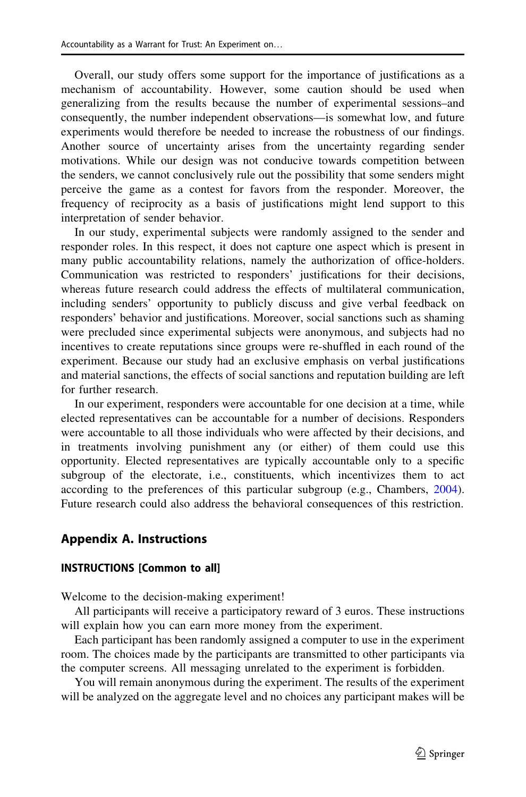Overall, our study offers some support for the importance of justifications as a mechanism of accountability. However, some caution should be used when generalizing from the results because the number of experimental sessions–and consequently, the number independent observations—is somewhat low, and future experiments would therefore be needed to increase the robustness of our findings. Another source of uncertainty arises from the uncertainty regarding sender motivations. While our design was not conducive towards competition between the senders, we cannot conclusively rule out the possibility that some senders might perceive the game as a contest for favors from the responder. Moreover, the frequency of reciprocity as a basis of justifications might lend support to this interpretation of sender behavior.

In our study, experimental subjects were randomly assigned to the sender and responder roles. In this respect, it does not capture one aspect which is present in many public accountability relations, namely the authorization of office-holders. Communication was restricted to responders' justifications for their decisions, whereas future research could address the effects of multilateral communication, including senders' opportunity to publicly discuss and give verbal feedback on responders' behavior and justifications. Moreover, social sanctions such as shaming were precluded since experimental subjects were anonymous, and subjects had no incentives to create reputations since groups were re-shuffled in each round of the experiment. Because our study had an exclusive emphasis on verbal justifications and material sanctions, the effects of social sanctions and reputation building are left for further research.

In our experiment, responders were accountable for one decision at a time, while elected representatives can be accountable for a number of decisions. Responders were accountable to all those individuals who were affected by their decisions, and in treatments involving punishment any (or either) of them could use this opportunity. Elected representatives are typically accountable only to a specific subgroup of the electorate, i.e., constituents, which incentivizes them to act according to the preferences of this particular subgroup (e.g., Chambers, [2004\)](#page-32-0). Future research could also address the behavioral consequences of this restriction.

# Appendix A. Instructions

### INSTRUCTIONS [Common to all]

Welcome to the decision-making experiment!

All participants will receive a participatory reward of 3 euros. These instructions will explain how you can earn more money from the experiment.

Each participant has been randomly assigned a computer to use in the experiment room. The choices made by the participants are transmitted to other participants via the computer screens. All messaging unrelated to the experiment is forbidden.

You will remain anonymous during the experiment. The results of the experiment will be analyzed on the aggregate level and no choices any participant makes will be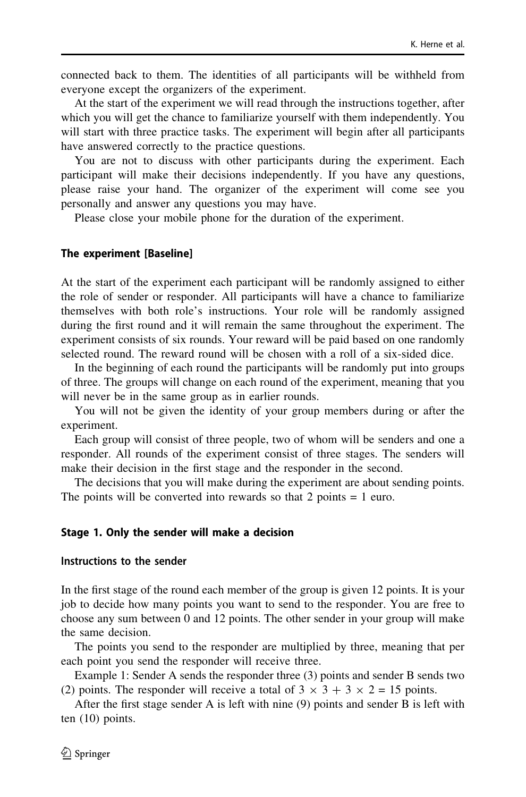connected back to them. The identities of all participants will be withheld from everyone except the organizers of the experiment.

At the start of the experiment we will read through the instructions together, after which you will get the chance to familiarize yourself with them independently. You will start with three practice tasks. The experiment will begin after all participants have answered correctly to the practice questions.

You are not to discuss with other participants during the experiment. Each participant will make their decisions independently. If you have any questions, please raise your hand. The organizer of the experiment will come see you personally and answer any questions you may have.

Please close your mobile phone for the duration of the experiment.

#### The experiment [Baseline]

At the start of the experiment each participant will be randomly assigned to either the role of sender or responder. All participants will have a chance to familiarize themselves with both role's instructions. Your role will be randomly assigned during the first round and it will remain the same throughout the experiment. The experiment consists of six rounds. Your reward will be paid based on one randomly selected round. The reward round will be chosen with a roll of a six-sided dice.

In the beginning of each round the participants will be randomly put into groups of three. The groups will change on each round of the experiment, meaning that you will never be in the same group as in earlier rounds.

You will not be given the identity of your group members during or after the experiment.

Each group will consist of three people, two of whom will be senders and one a responder. All rounds of the experiment consist of three stages. The senders will make their decision in the first stage and the responder in the second.

The decisions that you will make during the experiment are about sending points. The points will be converted into rewards so that  $2$  points  $= 1$  euro.

#### Stage 1. Only the sender will make a decision

#### Instructions to the sender

In the first stage of the round each member of the group is given 12 points. It is your job to decide how many points you want to send to the responder. You are free to choose any sum between 0 and 12 points. The other sender in your group will make the same decision.

The points you send to the responder are multiplied by three, meaning that per each point you send the responder will receive three.

Example 1: Sender A sends the responder three (3) points and sender B sends two (2) points. The responder will receive a total of  $3 \times 3 + 3 \times 2 = 15$  points.

After the first stage sender A is left with nine (9) points and sender B is left with ten (10) points.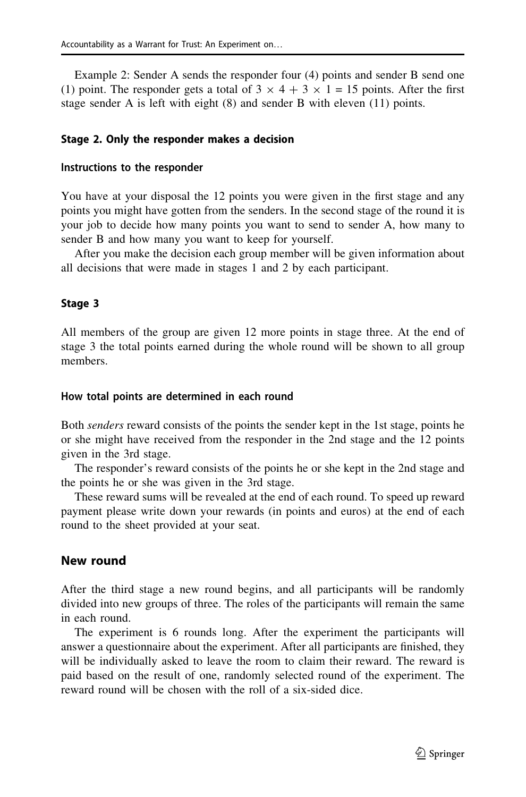Example 2: Sender A sends the responder four (4) points and sender B send one (1) point. The responder gets a total of  $3 \times 4 + 3 \times 1 = 15$  points. After the first stage sender A is left with eight (8) and sender B with eleven (11) points.

#### Stage 2. Only the responder makes a decision

#### Instructions to the responder

You have at your disposal the 12 points you were given in the first stage and any points you might have gotten from the senders. In the second stage of the round it is your job to decide how many points you want to send to sender A, how many to sender B and how many you want to keep for yourself.

After you make the decision each group member will be given information about all decisions that were made in stages 1 and 2 by each participant.

#### Stage 3

All members of the group are given 12 more points in stage three. At the end of stage 3 the total points earned during the whole round will be shown to all group members.

#### How total points are determined in each round

Both *senders* reward consists of the points the sender kept in the 1st stage, points he or she might have received from the responder in the 2nd stage and the 12 points given in the 3rd stage.

The responder's reward consists of the points he or she kept in the 2nd stage and the points he or she was given in the 3rd stage.

These reward sums will be revealed at the end of each round. To speed up reward payment please write down your rewards (in points and euros) at the end of each round to the sheet provided at your seat.

### New round

After the third stage a new round begins, and all participants will be randomly divided into new groups of three. The roles of the participants will remain the same in each round.

The experiment is 6 rounds long. After the experiment the participants will answer a questionnaire about the experiment. After all participants are finished, they will be individually asked to leave the room to claim their reward. The reward is paid based on the result of one, randomly selected round of the experiment. The reward round will be chosen with the roll of a six-sided dice.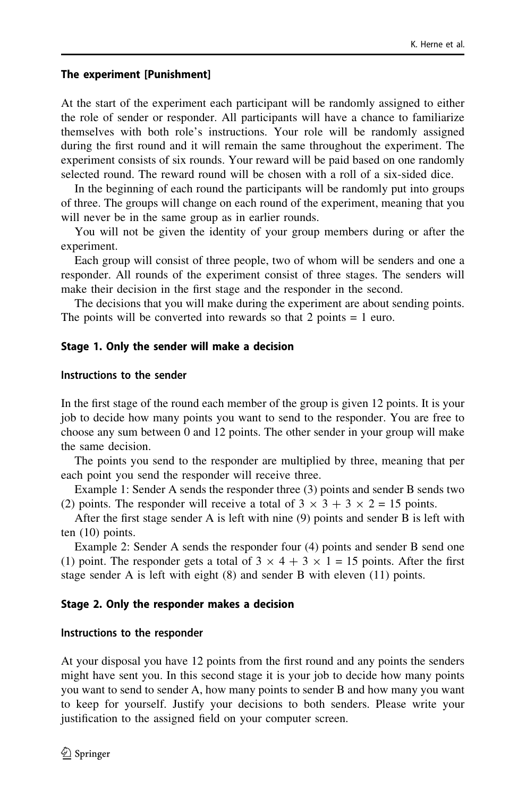#### The experiment [Punishment]

At the start of the experiment each participant will be randomly assigned to either the role of sender or responder. All participants will have a chance to familiarize themselves with both role's instructions. Your role will be randomly assigned during the first round and it will remain the same throughout the experiment. The experiment consists of six rounds. Your reward will be paid based on one randomly selected round. The reward round will be chosen with a roll of a six-sided dice.

In the beginning of each round the participants will be randomly put into groups of three. The groups will change on each round of the experiment, meaning that you will never be in the same group as in earlier rounds.

You will not be given the identity of your group members during or after the experiment.

Each group will consist of three people, two of whom will be senders and one a responder. All rounds of the experiment consist of three stages. The senders will make their decision in the first stage and the responder in the second.

The decisions that you will make during the experiment are about sending points. The points will be converted into rewards so that 2 points = 1 euro.

### Stage 1. Only the sender will make a decision

#### Instructions to the sender

In the first stage of the round each member of the group is given 12 points. It is your job to decide how many points you want to send to the responder. You are free to choose any sum between 0 and 12 points. The other sender in your group will make the same decision.

The points you send to the responder are multiplied by three, meaning that per each point you send the responder will receive three.

Example 1: Sender A sends the responder three (3) points and sender B sends two (2) points. The responder will receive a total of  $3 \times 3 + 3 \times 2 = 15$  points.

After the first stage sender A is left with nine (9) points and sender B is left with ten (10) points.

Example 2: Sender A sends the responder four (4) points and sender B send one (1) point. The responder gets a total of  $3 \times 4 + 3 \times 1 = 15$  points. After the first stage sender A is left with eight (8) and sender B with eleven (11) points.

### Stage 2. Only the responder makes a decision

#### Instructions to the responder

At your disposal you have 12 points from the first round and any points the senders might have sent you. In this second stage it is your job to decide how many points you want to send to sender A, how many points to sender B and how many you want to keep for yourself. Justify your decisions to both senders. Please write your justification to the assigned field on your computer screen.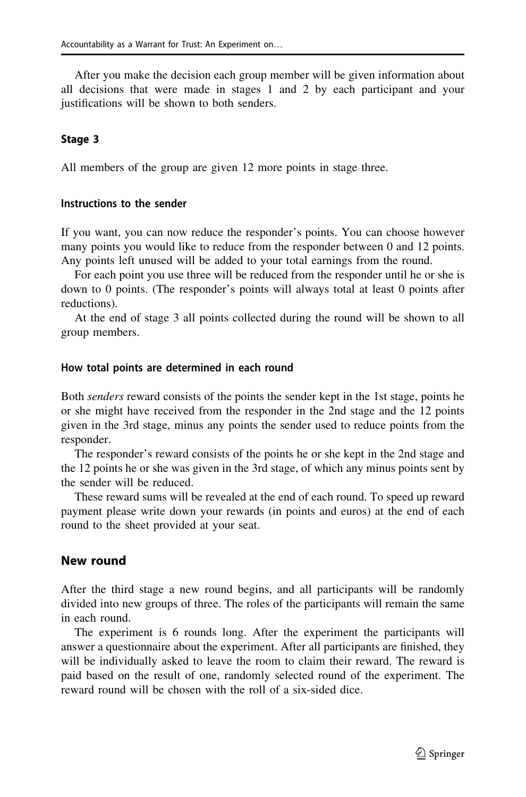After you make the decision each group member will be given information about all decisions that were made in stages 1 and 2 by each participant and your justifications will be shown to both senders.

### Stage 3

All members of the group are given 12 more points in stage three.

## Instructions to the sender

If you want, you can now reduce the responder's points. You can choose however many points you would like to reduce from the responder between 0 and 12 points. Any points left unused will be added to your total earnings from the round.

For each point you use three will be reduced from the responder until he or she is down to 0 points. (The responder's points will always total at least 0 points after reductions).

At the end of stage 3 all points collected during the round will be shown to all group members.

#### How total points are determined in each round

Both *senders* reward consists of the points the sender kept in the 1st stage, points he or she might have received from the responder in the 2nd stage and the 12 points given in the 3rd stage, minus any points the sender used to reduce points from the responder.

The responder's reward consists of the points he or she kept in the 2nd stage and the 12 points he or she was given in the 3rd stage, of which any minus points sent by the sender will be reduced.

These reward sums will be revealed at the end of each round. To speed up reward payment please write down your rewards (in points and euros) at the end of each round to the sheet provided at your seat.

### New round

After the third stage a new round begins, and all participants will be randomly divided into new groups of three. The roles of the participants will remain the same in each round.

The experiment is 6 rounds long. After the experiment the participants will answer a questionnaire about the experiment. After all participants are finished, they will be individually asked to leave the room to claim their reward. The reward is paid based on the result of one, randomly selected round of the experiment. The reward round will be chosen with the roll of a six-sided dice.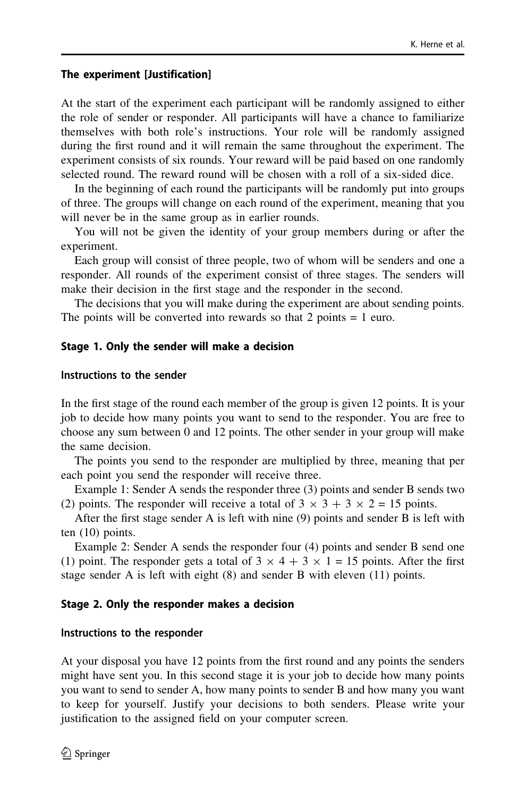#### The experiment [Justification]

At the start of the experiment each participant will be randomly assigned to either the role of sender or responder. All participants will have a chance to familiarize themselves with both role's instructions. Your role will be randomly assigned during the first round and it will remain the same throughout the experiment. The experiment consists of six rounds. Your reward will be paid based on one randomly selected round. The reward round will be chosen with a roll of a six-sided dice.

In the beginning of each round the participants will be randomly put into groups of three. The groups will change on each round of the experiment, meaning that you will never be in the same group as in earlier rounds.

You will not be given the identity of your group members during or after the experiment.

Each group will consist of three people, two of whom will be senders and one a responder. All rounds of the experiment consist of three stages. The senders will make their decision in the first stage and the responder in the second.

The decisions that you will make during the experiment are about sending points. The points will be converted into rewards so that 2 points = 1 euro.

### Stage 1. Only the sender will make a decision

#### Instructions to the sender

In the first stage of the round each member of the group is given 12 points. It is your job to decide how many points you want to send to the responder. You are free to choose any sum between 0 and 12 points. The other sender in your group will make the same decision.

The points you send to the responder are multiplied by three, meaning that per each point you send the responder will receive three.

Example 1: Sender A sends the responder three (3) points and sender B sends two (2) points. The responder will receive a total of  $3 \times 3 + 3 \times 2 = 15$  points.

After the first stage sender A is left with nine (9) points and sender B is left with ten (10) points.

Example 2: Sender A sends the responder four (4) points and sender B send one (1) point. The responder gets a total of  $3 \times 4 + 3 \times 1 = 15$  points. After the first stage sender A is left with eight (8) and sender B with eleven (11) points.

### Stage 2. Only the responder makes a decision

#### Instructions to the responder

At your disposal you have 12 points from the first round and any points the senders might have sent you. In this second stage it is your job to decide how many points you want to send to sender A, how many points to sender B and how many you want to keep for yourself. Justify your decisions to both senders. Please write your justification to the assigned field on your computer screen.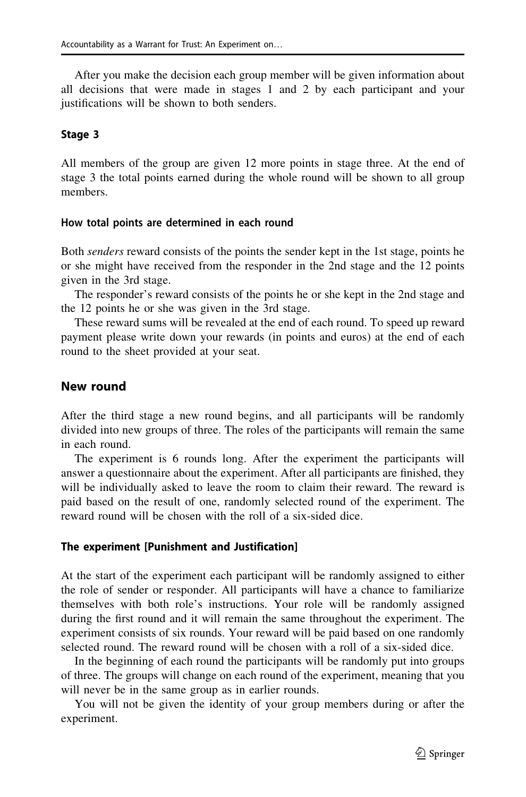After you make the decision each group member will be given information about all decisions that were made in stages 1 and 2 by each participant and your justifications will be shown to both senders.

### Stage 3

All members of the group are given 12 more points in stage three. At the end of stage 3 the total points earned during the whole round will be shown to all group members.

### How total points are determined in each round

Both *senders* reward consists of the points the sender kept in the 1st stage, points he or she might have received from the responder in the 2nd stage and the 12 points given in the 3rd stage.

The responder's reward consists of the points he or she kept in the 2nd stage and the 12 points he or she was given in the 3rd stage.

These reward sums will be revealed at the end of each round. To speed up reward payment please write down your rewards (in points and euros) at the end of each round to the sheet provided at your seat.

# New round

After the third stage a new round begins, and all participants will be randomly divided into new groups of three. The roles of the participants will remain the same in each round.

The experiment is 6 rounds long. After the experiment the participants will answer a questionnaire about the experiment. After all participants are finished, they will be individually asked to leave the room to claim their reward. The reward is paid based on the result of one, randomly selected round of the experiment. The reward round will be chosen with the roll of a six-sided dice.

### The experiment [Punishment and Justification]

At the start of the experiment each participant will be randomly assigned to either the role of sender or responder. All participants will have a chance to familiarize themselves with both role's instructions. Your role will be randomly assigned during the first round and it will remain the same throughout the experiment. The experiment consists of six rounds. Your reward will be paid based on one randomly selected round. The reward round will be chosen with a roll of a six-sided dice.

In the beginning of each round the participants will be randomly put into groups of three. The groups will change on each round of the experiment, meaning that you will never be in the same group as in earlier rounds.

You will not be given the identity of your group members during or after the experiment.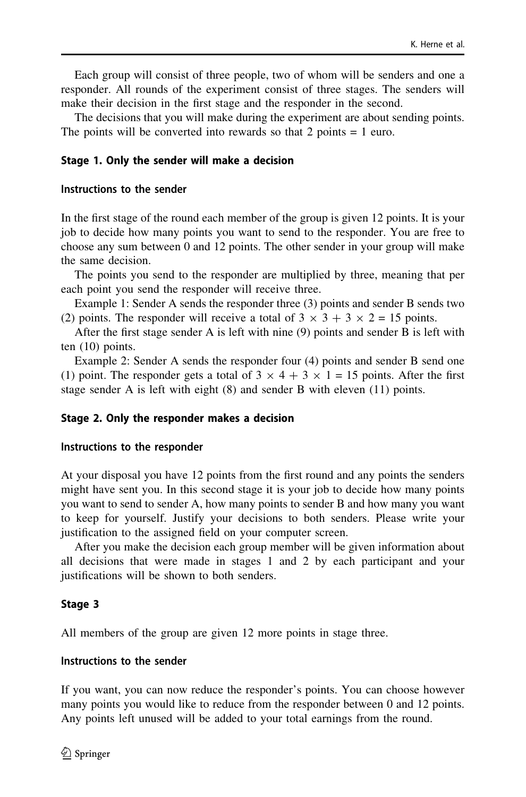Each group will consist of three people, two of whom will be senders and one a responder. All rounds of the experiment consist of three stages. The senders will make their decision in the first stage and the responder in the second.

The decisions that you will make during the experiment are about sending points. The points will be converted into rewards so that 2 points = 1 euro.

#### Stage 1. Only the sender will make a decision

#### Instructions to the sender

In the first stage of the round each member of the group is given 12 points. It is your job to decide how many points you want to send to the responder. You are free to choose any sum between 0 and 12 points. The other sender in your group will make the same decision.

The points you send to the responder are multiplied by three, meaning that per each point you send the responder will receive three.

Example 1: Sender A sends the responder three (3) points and sender B sends two (2) points. The responder will receive a total of  $3 \times 3 + 3 \times 2 = 15$  points.

After the first stage sender A is left with nine (9) points and sender B is left with ten (10) points.

Example 2: Sender A sends the responder four (4) points and sender B send one (1) point. The responder gets a total of  $3 \times 4 + 3 \times 1 = 15$  points. After the first stage sender A is left with eight (8) and sender B with eleven (11) points.

#### Stage 2. Only the responder makes a decision

#### Instructions to the responder

At your disposal you have 12 points from the first round and any points the senders might have sent you. In this second stage it is your job to decide how many points you want to send to sender A, how many points to sender B and how many you want to keep for yourself. Justify your decisions to both senders. Please write your justification to the assigned field on your computer screen.

After you make the decision each group member will be given information about all decisions that were made in stages 1 and 2 by each participant and your justifications will be shown to both senders.

#### Stage 3

All members of the group are given 12 more points in stage three.

#### Instructions to the sender

If you want, you can now reduce the responder's points. You can choose however many points you would like to reduce from the responder between 0 and 12 points. Any points left unused will be added to your total earnings from the round.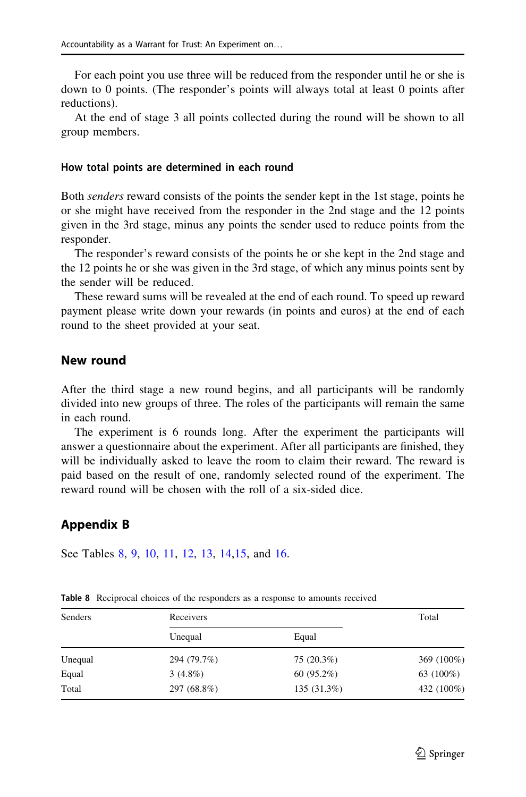For each point you use three will be reduced from the responder until he or she is down to 0 points. (The responder's points will always total at least 0 points after reductions).

At the end of stage 3 all points collected during the round will be shown to all group members.

#### How total points are determined in each round

Both *senders* reward consists of the points the sender kept in the 1st stage, points he or she might have received from the responder in the 2nd stage and the 12 points given in the 3rd stage, minus any points the sender used to reduce points from the responder.

The responder's reward consists of the points he or she kept in the 2nd stage and the 12 points he or she was given in the 3rd stage, of which any minus points sent by the sender will be reduced.

These reward sums will be revealed at the end of each round. To speed up reward payment please write down your rewards (in points and euros) at the end of each round to the sheet provided at your seat.

### New round

After the third stage a new round begins, and all participants will be randomly divided into new groups of three. The roles of the participants will remain the same in each round.

The experiment is 6 rounds long. After the experiment the participants will answer a questionnaire about the experiment. After all participants are finished, they will be individually asked to leave the room to claim their reward. The reward is paid based on the result of one, randomly selected round of the experiment. The reward round will be chosen with the roll of a six-sided dice.

### Appendix B

See Tables 8, [9,](#page-29-0) [10](#page-29-0), [11](#page-29-0), [12](#page-29-0), [13,](#page-30-0) [14,15](#page-30-0), and [16.](#page-30-0)

| Senders | Receivers   |             | Total      |
|---------|-------------|-------------|------------|
|         | Unequal     | Equal       |            |
| Unequal | 294 (79.7%) | 75 (20.3%)  | 369 (100%) |
| Equal   | $3(4.8\%)$  | 60(95.2%)   | 63 (100%)  |
| Total   | 297 (68.8%) | 135 (31.3%) | 432 (100%) |

Table 8 Reciprocal choices of the responders as a response to amounts received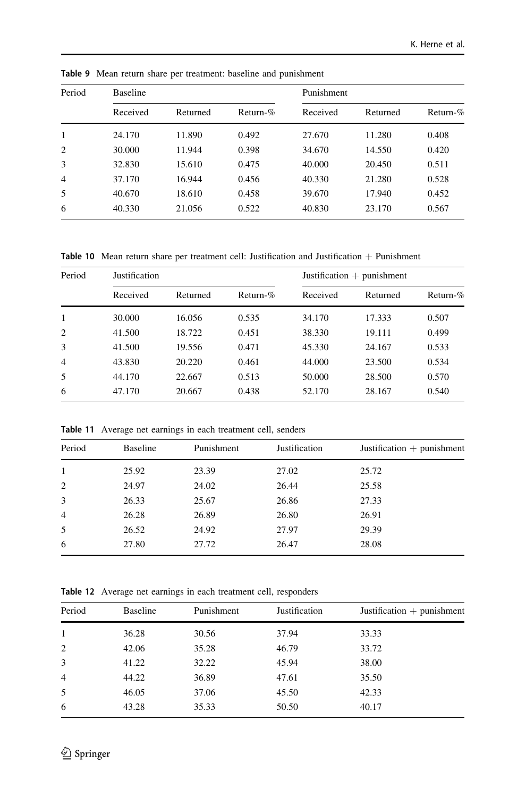| Period         | <b>Baseline</b> |          |             |          | Punishment |             |  |
|----------------|-----------------|----------|-------------|----------|------------|-------------|--|
|                | Received        | Returned | Return- $%$ | Received | Returned   | Return- $%$ |  |
| 1              | 24.170          | 11.890   | 0.492       | 27.670   | 11.280     | 0.408       |  |
| 2              | 30.000          | 11.944   | 0.398       | 34.670   | 14.550     | 0.420       |  |
| 3              | 32.830          | 15.610   | 0.475       | 40.000   | 20.450     | 0.511       |  |
| $\overline{4}$ | 37.170          | 16.944   | 0.456       | 40.330   | 21.280     | 0.528       |  |
| 5              | 40.670          | 18.610   | 0.458       | 39.670   | 17.940     | 0.452       |  |
| 6              | 40.330          | 21.056   | 0.522       | 40.830   | 23.170     | 0.567       |  |

<span id="page-29-0"></span>Table 9 Mean return share per treatment: baseline and punishment

Table 10 Mean return share per treatment cell: Justification and Justification  $+$  Punishment

| Period         | Justification |          |             |          | Justification $+$ punishment |             |  |
|----------------|---------------|----------|-------------|----------|------------------------------|-------------|--|
|                | Received      | Returned | Return- $%$ | Received | Returned                     | Return- $%$ |  |
| 1              | 30.000        | 16.056   | 0.535       | 34.170   | 17.333                       | 0.507       |  |
| 2              | 41.500        | 18.722   | 0.451       | 38.330   | 19.111                       | 0.499       |  |
| 3              | 41.500        | 19.556   | 0.471       | 45.330   | 24.167                       | 0.533       |  |
| $\overline{4}$ | 43.830        | 20.220   | 0.461       | 44.000   | 23.500                       | 0.534       |  |
| 5              | 44.170        | 22.667   | 0.513       | 50.000   | 28.500                       | 0.570       |  |
| 6              | 47.170        | 20.667   | 0.438       | 52.170   | 28.167                       | 0.540       |  |

Table 11 Average net earnings in each treatment cell, senders

| Period         | Baseline | Punishment | Justification | Justification $+$ punishment |
|----------------|----------|------------|---------------|------------------------------|
| 1              | 25.92    | 23.39      | 27.02         | 25.72                        |
| 2              | 24.97    | 24.02      | 26.44         | 25.58                        |
| 3              | 26.33    | 25.67      | 26.86         | 27.33                        |
| $\overline{4}$ | 26.28    | 26.89      | 26.80         | 26.91                        |
| 5              | 26.52    | 24.92      | 27.97         | 29.39                        |
| 6              | 27.80    | 27.72      | 26.47         | 28.08                        |

Table 12 Average net earnings in each treatment cell, responders

| Period         | Baseline | Punishment | Justification | Justification $+$ punishment |
|----------------|----------|------------|---------------|------------------------------|
| 1              | 36.28    | 30.56      | 37.94         | 33.33                        |
| 2              | 42.06    | 35.28      | 46.79         | 33.72                        |
| 3              | 41.22    | 32.22      | 45.94         | 38.00                        |
| $\overline{4}$ | 44.22    | 36.89      | 47.61         | 35.50                        |
| 5              | 46.05    | 37.06      | 45.50         | 42.33                        |
| 6              | 43.28    | 35.33      | 50.50         | 40.17                        |
|                |          |            |               |                              |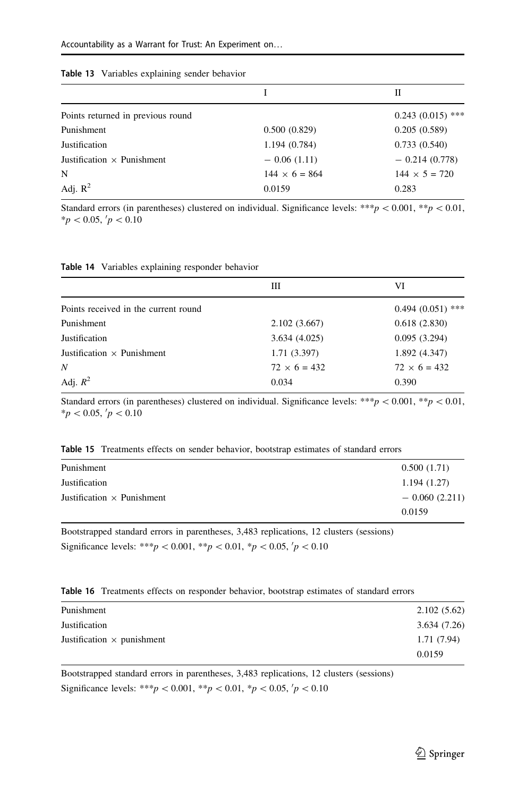<span id="page-30-0"></span>

| Table 13 Variables explaining sender behavior |  |
|-----------------------------------------------|--|
|-----------------------------------------------|--|

|                                   |                      | П                    |
|-----------------------------------|----------------------|----------------------|
| Points returned in previous round |                      | $0.243(0.015)$ ***   |
| Punishment                        | 0.500(0.829)         | 0.205(0.589)         |
| Justification                     | 1.194 (0.784)        | 0.733(0.540)         |
| Justification $\times$ Punishment | $-0.06(1.11)$        | $-0.214(0.778)$      |
| N                                 | $144 \times 6 = 864$ | $144 \times 5 = 720$ |
| Adj. $R^2$                        | 0.0159               | 0.283                |

Standard errors (in parentheses) clustered on individual. Significance levels: \*\*\*p < 0.001, \*\*p < 0.01,  $*p < 0.05, \, p < 0.10$ 

|  |  | <b>Table 14</b> Variables explaining responder behavior |  |  |
|--|--|---------------------------------------------------------|--|--|
|--|--|---------------------------------------------------------|--|--|

|                                      | Ш                   | VI                  |
|--------------------------------------|---------------------|---------------------|
| Points received in the current round |                     | $0.494(0.051)$ ***  |
| Punishment                           | 2.102(3.667)        | 0.618(2.830)        |
| Justification                        | 3.634(4.025)        | 0.095(3.294)        |
| Justification $\times$ Punishment    | 1.71(3.397)         | 1.892 (4.347)       |
| N                                    | $72 \times 6 = 432$ | $72 \times 6 = 432$ |
| Adj. $R^2$                           | 0.034               | 0.390               |

Standard errors (in parentheses) clustered on individual. Significance levels: \*\*\*p $\lt 0.001$ , \*\*p $\lt 0.01$ ,  $*_{p} < 0.05, \, p < 0.10$ 

| Punishment                        | 0.500(1.71)       |
|-----------------------------------|-------------------|
| Justification                     | 1.194(1.27)       |
| Justification $\times$ Punishment | $-$ 0.060 (2.211) |
|                                   | 0.0159            |

Bootstrapped standard errors in parentheses, 3,483 replications, 12 clusters (sessions) Significance levels: \*\*\*p < 0.001, \*\*p < 0.01, \*p < 0.05,  $p$  < 0.10

|  | <b>Table 16</b> Treatments effects on responder behavior, bootstrap estimates of standard errors |  |  |  |  |  |
|--|--------------------------------------------------------------------------------------------------|--|--|--|--|--|
|--|--------------------------------------------------------------------------------------------------|--|--|--|--|--|

| Punishment                        | 2.102(5.62) |
|-----------------------------------|-------------|
| Justification                     | 3.634(7.26) |
| Justification $\times$ punishment | 1.71 (7.94) |
|                                   | 0.0159      |

Bootstrapped standard errors in parentheses, 3,483 replications, 12 clusters (sessions) Significance levels: \*\*\*p < 0.001, \*\*p < 0.01, \*p < 0.05,  $p$  < 0.10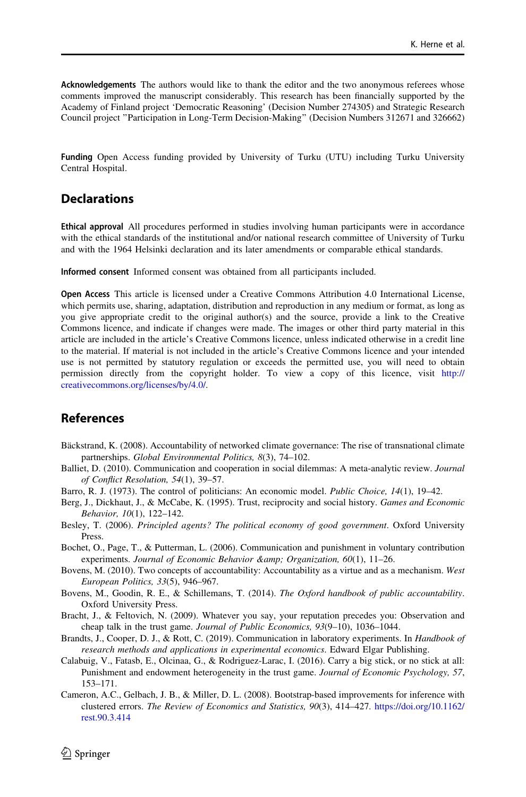<span id="page-31-0"></span>Acknowledgements The authors would like to thank the editor and the two anonymous referees whose comments improved the manuscript considerably. This research has been financially supported by the Academy of Finland project 'Democratic Reasoning' (Decision Number 274305) and Strategic Research Council project ''Participation in Long-Term Decision-Making'' (Decision Numbers 312671 and 326662)

Funding Open Access funding provided by University of Turku (UTU) including Turku University Central Hospital.

# **Declarations**

Ethical approval All procedures performed in studies involving human participants were in accordance with the ethical standards of the institutional and/or national research committee of University of Turku and with the 1964 Helsinki declaration and its later amendments or comparable ethical standards.

Informed consent Informed consent was obtained from all participants included.

Open Access This article is licensed under a Creative Commons Attribution 4.0 International License, which permits use, sharing, adaptation, distribution and reproduction in any medium or format, as long as you give appropriate credit to the original author(s) and the source, provide a link to the Creative Commons licence, and indicate if changes were made. The images or other third party material in this article are included in the article's Creative Commons licence, unless indicated otherwise in a credit line to the material. If material is not included in the article's Creative Commons licence and your intended use is not permitted by statutory regulation or exceeds the permitted use, you will need to obtain permission directly from the copyright holder. To view a copy of this licence, visit [http://](http://creativecommons.org/licenses/by/4.0/) [creativecommons.org/licenses/by/4.0/.](http://creativecommons.org/licenses/by/4.0/)

# References

- Bäckstrand, K. (2008). Accountability of networked climate governance: The rise of transnational climate partnerships. Global Environmental Politics, 8(3), 74–102.
- Balliet, D. (2010). Communication and cooperation in social dilemmas: A meta-analytic review. Journal of Conflict Resolution, 54(1), 39–57.
- Barro, R. J. (1973). The control of politicians: An economic model. Public Choice, 14(1), 19–42.
- Berg, J., Dickhaut, J., & McCabe, K. (1995). Trust, reciprocity and social history. Games and Economic Behavior, 10(1), 122–142.
- Besley, T. (2006). Principled agents? The political economy of good government. Oxford University Press.
- Bochet, O., Page, T., & Putterman, L. (2006). Communication and punishment in voluntary contribution experiments. Journal of Economic Behavior & amp; Organization,  $60(1)$ ,  $11-26$ .
- Bovens, M. (2010). Two concepts of accountability: Accountability as a virtue and as a mechanism. West European Politics, 33(5), 946–967.
- Bovens, M., Goodin, R. E., & Schillemans, T. (2014). The Oxford handbook of public accountability. Oxford University Press.
- Bracht, J., & Feltovich, N. (2009). Whatever you say, your reputation precedes you: Observation and cheap talk in the trust game. Journal of Public Economics, 93(9–10), 1036–1044.
- Brandts, J., Cooper, D. J., & Rott, C. (2019). Communication in laboratory experiments. In Handbook of research methods and applications in experimental economics. Edward Elgar Publishing.
- Calabuig, V., Fatasb, E., Olcinaa, G., & Rodriguez-Larac, I. (2016). Carry a big stick, or no stick at all: Punishment and endowment heterogeneity in the trust game. Journal of Economic Psychology, 57, 153–171.
- Cameron, A.C., Gelbach, J. B., & Miller, D. L. (2008). Bootstrap-based improvements for inference with clustered errors. The Review of Economics and Statistics, 90(3), 414–427. [https://doi.org/10.1162/](https://doi.org/10.1162/rest.90.3.414) [rest.90.3.414](https://doi.org/10.1162/rest.90.3.414)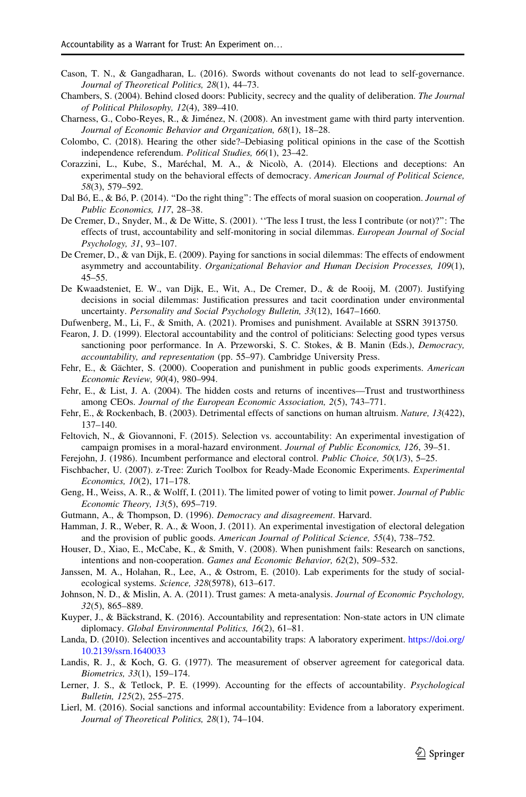- <span id="page-32-0"></span>Cason, T. N., & Gangadharan, L. (2016). Swords without covenants do not lead to self-governance. Journal of Theoretical Politics, 28(1), 44–73.
- Chambers, S. (2004). Behind closed doors: Publicity, secrecy and the quality of deliberation. The Journal of Political Philosophy, 12(4), 389–410.
- Charness, G., Cobo-Reyes, R., & Jiménez, N. (2008). An investment game with third party intervention. Journal of Economic Behavior and Organization, 68(1), 18–28.
- Colombo, C. (2018). Hearing the other side?–Debiasing political opinions in the case of the Scottish independence referendum. Political Studies, 66(1), 23–42.
- Corazzini, L., Kube, S., Maréchal, M. A., & Nicolò, A. (2014). Elections and deceptions: An experimental study on the behavioral effects of democracy. American Journal of Political Science, 58(3), 579–592.
- Dal Bó, E., & Bó, P. (2014). "Do the right thing": The effects of moral suasion on cooperation. *Journal of* Public Economics, 117, 28–38.
- De Cremer, D., Snyder, M., & De Witte, S. (2001). ''The less I trust, the less I contribute (or not)?'': The effects of trust, accountability and self-monitoring in social dilemmas. European Journal of Social Psychology, 31, 93–107.
- De Cremer, D., & van Dijk, E. (2009). Paying for sanctions in social dilemmas: The effects of endowment asymmetry and accountability. Organizational Behavior and Human Decision Processes, 109(1), 45–55.
- De Kwaadsteniet, E. W., van Dijk, E., Wit, A., De Cremer, D., & de Rooij, M. (2007). Justifying decisions in social dilemmas: Justification pressures and tacit coordination under environmental uncertainty. Personality and Social Psychology Bulletin, 33(12), 1647–1660.
- Dufwenberg, M., Li, F., & Smith, A. (2021). Promises and punishment. Available at SSRN 3913750.
- Fearon, J. D. (1999). Electoral accountability and the control of politicians: Selecting good types versus sanctioning poor performance. In A. Przeworski, S. C. Stokes, & B. Manin (Eds.), Democracy, accountability, and representation (pp. 55–97). Cambridge University Press.
- Fehr, E., & Gächter, S. (2000). Cooperation and punishment in public goods experiments. American Economic Review, 90(4), 980–994.
- Fehr, E., & List, J. A. (2004). The hidden costs and returns of incentives—Trust and trustworthiness among CEOs. Journal of the European Economic Association, 2(5), 743–771.
- Fehr, E., & Rockenbach, B. (2003). Detrimental effects of sanctions on human altruism. Nature, 13(422), 137–140.
- Feltovich, N., & Giovannoni, F. (2015). Selection vs. accountability: An experimental investigation of campaign promises in a moral-hazard environment. Journal of Public Economics, 126, 39–51.
- Ferejohn, J. (1986). Incumbent performance and electoral control. Public Choice, 50(1/3), 5–25.
- Fischbacher, U. (2007). z-Tree: Zurich Toolbox for Ready-Made Economic Experiments. Experimental Economics, 10(2), 171–178.
- Geng, H., Weiss, A. R., & Wolff, I. (2011). The limited power of voting to limit power. *Journal of Public* Economic Theory, 13(5), 695–719.
- Gutmann, A., & Thompson, D. (1996). Democracy and disagreement. Harvard.
- Hamman, J. R., Weber, R. A., & Woon, J. (2011). An experimental investigation of electoral delegation and the provision of public goods. American Journal of Political Science, 55(4), 738–752.
- Houser, D., Xiao, E., McCabe, K., & Smith, V. (2008). When punishment fails: Research on sanctions, intentions and non-cooperation. Games and Economic Behavior, 62(2), 509–532.
- Janssen, M. A., Holahan, R., Lee, A., & Ostrom, E. (2010). Lab experiments for the study of socialecological systems. Science, 328(5978), 613–617.
- Johnson, N. D., & Mislin, A. A. (2011). Trust games: A meta-analysis. Journal of Economic Psychology, 32(5), 865–889.
- Kuyper, J., & Bäckstrand, K. (2016). Accountability and representation: Non-state actors in UN climate diplomacy. Global Environmental Politics, 16(2), 61–81.
- Landa, D. (2010). Selection incentives and accountability traps: A laboratory experiment. [https://doi.org/](https://doi.org/10.2139/ssrn.1640033) [10.2139/ssrn.1640033](https://doi.org/10.2139/ssrn.1640033)
- Landis, R. J., & Koch, G. G. (1977). The measurement of observer agreement for categorical data. Biometrics, 33(1), 159–174.
- Lerner, J. S., & Tetlock, P. E. (1999). Accounting for the effects of accountability. Psychological Bulletin, 125(2), 255–275.
- Lierl, M. (2016). Social sanctions and informal accountability: Evidence from a laboratory experiment. Journal of Theoretical Politics, 28(1), 74–104.